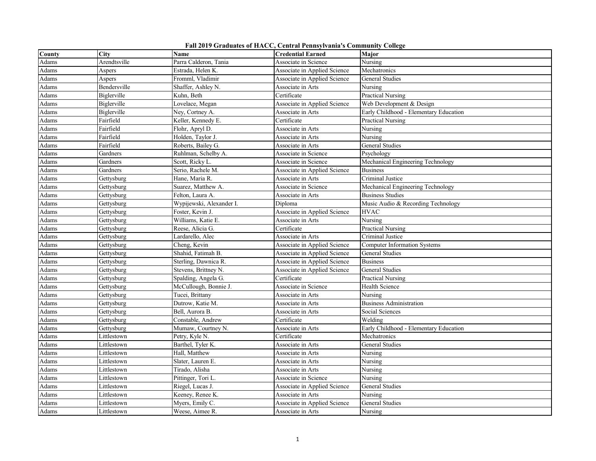| Fall 2019 Graduates of HACC, Central Pennsylvania's Community College |  |  |  |  |
|-----------------------------------------------------------------------|--|--|--|--|
|-----------------------------------------------------------------------|--|--|--|--|

| County | City         | <b>Name</b>              | <b>Credential Earned</b>     | Major                                  |
|--------|--------------|--------------------------|------------------------------|----------------------------------------|
| Adams  | Arendtsville | Parra Calderon, Tania    | Associate in Science         | Nursing                                |
| Adams  | Aspers       | Estrada, Helen K.        | Associate in Applied Science | Mechatronics                           |
| Adams  | Aspers       | Fromml, Vladimir         | Associate in Applied Science | <b>General Studies</b>                 |
| Adams  | Bendersville | Shaffer, Ashley N.       | Associate in Arts            | Nursing                                |
| Adams  | Biglerville  | Kuhn, Beth               | Certificate                  | <b>Practical Nursing</b>               |
| Adams  | Biglerville  | Lovelace, Megan          | Associate in Applied Science | Web Development & Design               |
| Adams  | Biglerville  | Ney, Cortney A.          | Associate in Arts            | Early Childhood - Elementary Education |
| Adams  | Fairfield    | Keller, Kennedy E.       | Certificate                  | Practical Nursing                      |
| Adams  | Fairfield    | Flohr, Apryl D.          | Associate in Arts            | Nursing                                |
| Adams  | Fairfield    | Holden, Taylor J.        | Associate in Arts            | Nursing                                |
| Adams  | Fairfield    | Roberts, Bailey G.       | Associate in Arts            | <b>General Studies</b>                 |
| Adams  | Gardners     | Ruhlman, Schelby A.      | Associate in Science         | Psychology                             |
| Adams  | Gardners     | Scott, Ricky L.          | Associate in Science         | Mechanical Engineering Technology      |
| Adams  | Gardners     | Serio, Rachele M.        | Associate in Applied Science | <b>Business</b>                        |
| Adams  | Gettysburg   | Hane, Maria R.           | Associate in Arts            | Criminal Justice                       |
| Adams  | Gettysburg   | Suarez, Matthew A.       | Associate in Science         | Mechanical Engineering Technology      |
| Adams  | Gettysburg   | Felton, Laura A.         | Associate in Arts            | <b>Business Studies</b>                |
| Adams  | Gettysburg   | Wypijewski, Alexander I. | Diploma                      | Music Audio & Recording Technology     |
| Adams  | Gettysburg   | Foster, Kevin J.         | Associate in Applied Science | <b>HVAC</b>                            |
| Adams  | Gettysburg   | Williams, Katie E.       | Associate in Arts            | Nursing                                |
| Adams  | Gettysburg   | Reese, Alicia G.         | Certificate                  | <b>Practical Nursing</b>               |
| Adams  | Gettysburg   | Lardarello, Alec         | Associate in Arts            | Criminal Justice                       |
| Adams  | Gettysburg   | Cheng, Kevin             | Associate in Applied Science | <b>Computer Information Systems</b>    |
| Adams  | Gettysburg   | Shahid, Fatimah B.       | Associate in Applied Science | <b>General Studies</b>                 |
| Adams  | Gettysburg   | Sterling, Dawnica R.     | Associate in Applied Science | <b>Business</b>                        |
| Adams  | Gettysburg   | Stevens, Brittney N.     | Associate in Applied Science | <b>General Studies</b>                 |
| Adams  | Gettysburg   | Spalding, Angela G.      | Certificate                  | Practical Nursing                      |
| Adams  | Gettysburg   | McCullough, Bonnie J.    | Associate in Science         | Health Science                         |
| Adams  | Gettysburg   | Tucei, Brittany          | Associate in Arts            | Nursing                                |
| Adams  | Gettysburg   | Dutrow, Katie M.         | Associate in Arts            | <b>Business Administration</b>         |
| Adams  | Gettysburg   | Bell, Aurora B.          | Associate in Arts            | Social Sciences                        |
| Adams  | Gettysburg   | Constable, Andrew        | Certificate                  | Welding                                |
| Adams  | Gettysburg   | Mumaw, Courtney N.       | Associate in Arts            | Early Childhood - Elementary Education |
| Adams  | Littlestown  | Petry, Kyle N.           | Certificate                  | Mechatronics                           |
| Adams  | Littlestown  | Barthel, Tyler K.        | Associate in Arts            | General Studies                        |
| Adams  | Littlestown  | Hall, Matthew            | Associate in Arts            | Nursing                                |
| Adams  | Littlestown  | Slater, Lauren E.        | Associate in Arts            | Nursing                                |
| Adams  | Littlestown  | Tirado, Alisha           | Associate in Arts            | Nursing                                |
| Adams  | Littlestown  | Pittinger, Tori L.       | Associate in Science         | Nursing                                |
| Adams  | Littlestown  | Riegel, Lucas J.         | Associate in Applied Science | General Studies                        |
| Adams  | Littlestown  | Keeney, Renee K.         | Associate in Arts            | Nursing                                |
| Adams  | Littlestown  | Myers, Emily C.          | Associate in Applied Science | <b>General Studies</b>                 |
| Adams  | Littlestown  | Weese, Aimee R.          | Associate in Arts            | Nursing                                |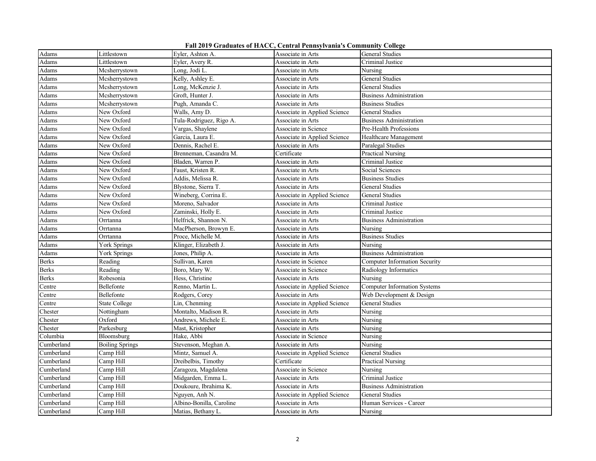**Fall 2019 Graduates of HACC, Central Pennsylvania's Community College**

| Adams                  | Littlestown            | Eyler, Ashton A.         | Associate in Arts            | General Studies                      |
|------------------------|------------------------|--------------------------|------------------------------|--------------------------------------|
| Adams                  | Littlestown            | Eyler, Avery R.          | Associate in Arts            | Criminal Justice                     |
| Adams                  | Mcsherrystown          | Long, Jodi L.            | Associate in Arts            | Nursing                              |
| Adams                  | Mcsherrystown          | Kelly, Ashley E.         | Associate in Arts            | <b>General Studies</b>               |
| Adams                  | Mcsherrystown          | Long, McKenzie J.        | Associate in Arts            | General Studies                      |
| Adams                  | Mcsherrystown          | Groft, Hunter J.         | Associate in Arts            | <b>Business Administration</b>       |
| Adams                  | Mcsherrystown          | Pugh, Amanda C.          | Associate in Arts            | <b>Business Studies</b>              |
| Adams                  | New Oxford             | Walls, Amy D.            | Associate in Applied Science | General Studies                      |
| Adams                  | New Oxford             | Tula-Rodriguez, Rigo A.  | Associate in Arts            | <b>Business Administration</b>       |
| $\operatorname{Adams}$ | New Oxford             | Vargas, Shaylene         | Associate in Science         | Pre-Health Professions               |
| Adams                  | New Oxford             | Garcia, Laura E.         | Associate in Applied Science | Healthcare Management                |
| Adams                  | New Oxford             | Dennis, Rachel E.        | Associate in Arts            | Paralegal Studies                    |
| Adams                  | New Oxford             | Brenneman, Casandra M.   | Certificate                  | Practical Nursing                    |
| Adams                  | New Oxford             | Bladen, Warren P.        | Associate in Arts            | Criminal Justice                     |
| Adams                  | New Oxford             | Faust, Kristen R.        | Associate in Arts            | Social Sciences                      |
| Adams                  | New Oxford             | Addis, Melissa R.        | Associate in Arts            | <b>Business Studies</b>              |
| Adams                  | New Oxford             | Blystone, Sierra T.      | Associate in Arts            | General Studies                      |
| Adams                  | New Oxford             | Wineberg, Corrina E.     | Associate in Applied Science | General Studies                      |
| Adams                  | New Oxford             | Moreno, Salvador         | Associate in Arts            | Criminal Justice                     |
| Adams                  | New Oxford             | Zaminski, Holly E.       | Associate in Arts            | Criminal Justice                     |
| Adams                  | Orrtanna               | Helfrick, Shannon N.     | Associate in Arts            | <b>Business Administration</b>       |
| Adams                  | Orrtanna               | MacPherson, Browyn E.    | Associate in Arts            | Nursing                              |
| Adams                  | Orrtanna               | Proce, Michelle M.       | Associate in Arts            | <b>Business Studies</b>              |
| Adams                  | York Springs           | Klinger, Elizabeth J.    | Associate in Arts            | Nursing                              |
| Adams                  | York Springs           | Jones, Philip A.         | Associate in Arts            | <b>Business Administration</b>       |
| <b>Berks</b>           | Reading                | Sullivan, Karen          | Associate in Science         | <b>Computer Information Security</b> |
| <b>Berks</b>           | Reading                | Boro, Mary W.            | Associate in Science         | Radiology Informatics                |
| <b>Berks</b>           | Robesonia              | Hess, Christine          | Associate in Arts            | Nursing                              |
| Centre                 | Bellefonte             | Renno, Martin L.         | Associate in Applied Science | <b>Computer Information Systems</b>  |
| Centre                 | Bellefonte             | Rodgers, Corey           | Associate in Arts            | Web Development & Design             |
| Centre                 | State College          | Lin, Chenming            | Associate in Applied Science | General Studies                      |
| Chester                | Nottingham             | Montalto, Madison R.     | Associate in Arts            | Nursing                              |
| Chester                | Oxford                 | Andrews, Michele E.      | Associate in Arts            | Nursing                              |
| Chester                | Parkesburg             | Mast, Kristopher         | Associate in Arts            | Nursing                              |
| Columbia               | Bloomsburg             | Hake, Abbi               | Associate in Science         | Nursing                              |
| Cumberland             | <b>Boiling Springs</b> | Stevenson, Meghan A.     | Associate in Arts            | Nursing                              |
| Cumberland             | Camp Hill              | Mintz, Samuel A.         | Associate in Applied Science | <b>General Studies</b>               |
| Cumberland             | Camp Hill              | Dreibelbis, Timothy      | Certificate                  | Practical Nursing                    |
| Cumberland             | Camp Hill              | Zaragoza, Magdalena      | Associate in Science         | Nursing                              |
| Cumberland             | Camp Hill              | Midgarden, Emma L.       | Associate in Arts            | Criminal Justice                     |
| Cumberland             | Camp Hill              | Doukoure, Ibrahima K.    | Associate in Arts            | <b>Business Administration</b>       |
| Cumberland             | Camp Hill              | Nguyen, Anh N.           | Associate in Applied Science | General Studies                      |
| Cumberland             | Camp Hill              | Albino-Bonilla, Caroline | Associate in Arts            | Human Services - Career              |
| Cumberland             | Camp Hill              | Matias, Bethany L.       | Associate in Arts            | Nursing                              |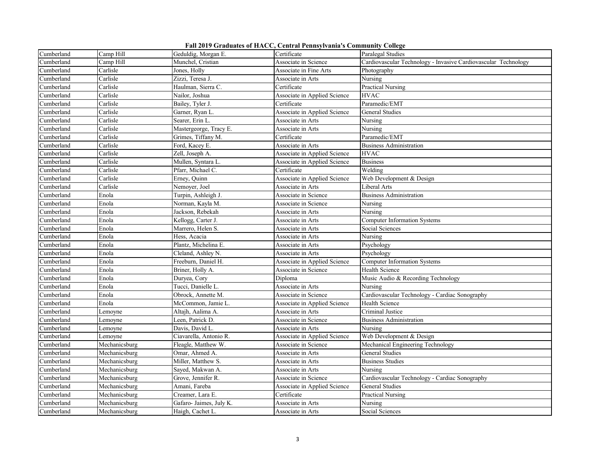|  |  |  |  | Fall 2019 Graduates of HACC, Central Pennsylvania's Community College |
|--|--|--|--|-----------------------------------------------------------------------|
|--|--|--|--|-----------------------------------------------------------------------|

| Cumberland | Camp Hill     | Geduldig, Morgan E.     | Certificate                  | Paralegal Studies                                              |
|------------|---------------|-------------------------|------------------------------|----------------------------------------------------------------|
| Cumberland | Camp Hill     | Munchel, Cristian       | Associate in Science         | Cardiovascular Technology - Invasive Cardiovascular Technology |
| Cumberland | Carlisle      | Jones, Holly            | Associate in Fine Arts       | Photography                                                    |
| Cumberland | Carlisle      | Zizzi, Teresa J.        | Associate in Arts            | Nursing                                                        |
| Cumberland | Carlisle      | Haulman, Sierra C.      | Certificate                  | <b>Practical Nursing</b>                                       |
| Cumberland | Carlisle      | Nailor, Joshua          | Associate in Applied Science | HVAC                                                           |
| Cumberland | Carlisle      | Bailey, Tyler J.        | Certificate                  | Paramedic/EMT                                                  |
| Cumberland | Carlisle      | Garner, Ryan L.         | Associate in Applied Science | <b>General Studies</b>                                         |
| Cumberland | Carlisle      | Searer, Erin L.         | Associate in Arts            | Nursing                                                        |
| Cumberland | Carlisle      | Mastergeorge, Tracy E.  | Associate in Arts            | Nursing                                                        |
| Cumberland | Carlisle      | Grimes, Tiffany M.      | Certificate                  | Paramedic/EMT                                                  |
| Cumberland | Carlisle      | Ford, Kacey E.          | Associate in Arts            | <b>Business Administration</b>                                 |
| Cumberland | Carlisle      | Zell, Joseph A.         | Associate in Applied Science | <b>HVAC</b>                                                    |
| Cumberland | Carlisle      | Mullen, Syntara L.      | Associate in Applied Science | <b>Business</b>                                                |
| Cumberland | Carlisle      | Pfarr, Michael C.       | Certificate                  | Welding                                                        |
| Cumberland | Carlisle      | Erney, Quinn            | Associate in Applied Science | Web Development & Design                                       |
| Cumberland | Carlisle      | Nemover, Joel           | Associate in Arts            | Liberal Arts                                                   |
| Cumberland | Enola         | Turpin, Ashleigh J.     | Associate in Science         | <b>Business Administration</b>                                 |
| Cumberland | Enola         | Norman, Kayla M.        | Associate in Science         | Nursing                                                        |
| Cumberland | Enola         | Jackson, Rebekah        | Associate in Arts            | Nursing                                                        |
| Cumberland | Enola         | Kellogg, Carter J.      | Associate in Arts            | <b>Computer Information Systems</b>                            |
| Cumberland | Enola         | Marrero, Helen S.       | Associate in Arts            | Social Sciences                                                |
| Cumberland | Enola         | Hess, Acacia            | Associate in Arts            | Nursing                                                        |
| Cumberland | Enola         | Plantz, Michelina E.    | Associate in Arts            | Psychology                                                     |
| Cumberland | Enola         | Cleland, Ashley N.      | Associate in Arts            | Psychology                                                     |
| Cumberland | Enola         | Freeburn, Daniel H.     | Associate in Applied Science | <b>Computer Information Systems</b>                            |
| Cumberland | Enola         | Briner, Holly A.        | Associate in Science         | Health Science                                                 |
| Cumberland | Enola         | Duryea, Cory            | Diploma                      | Music Audio & Recording Technology                             |
| Cumberland | Enola         | Tucci, Danielle L.      | Associate in Arts            | Nursing                                                        |
| Cumberland | Enola         | Obrock, Annette M.      | Associate in Science         | Cardiovascular Technology - Cardiac Sonography                 |
| Cumberland | Enola         | McCommon, Jamie L.      | Associate in Applied Science | Health Science                                                 |
| Cumberland | Lemoyne       | Altajh, Aalima A.       | Associate in Arts            | Criminal Justice                                               |
| Cumberland | Lemoyne       | Leen, Patrick D.        | Associate in Science         | <b>Business Administration</b>                                 |
| Cumberland | Lemoyne       | Davis, David L.         | Associate in Arts            | Nursing                                                        |
| Cumberland | Lemoyne       | Ciavarella, Antonio R.  | Associate in Applied Science | Web Development & Design                                       |
| Cumberland | Mechanicsburg | Fleagle, Matthew W.     | Associate in Science         | Mechanical Engineering Technology                              |
| Cumberland | Mechanicsburg | Omar, Ahmed A.          | Associate in Arts            | General Studies                                                |
| Cumberland | Mechanicsburg | Miller, Matthew S.      | Associate in Arts            | <b>Business Studies</b>                                        |
| Cumberland | Mechanicsburg | Sayed, Makwan A.        | Associate in Arts            | Nursing                                                        |
| Cumberland | Mechanicsburg | Grove, Jennifer R.      | Associate in Science         | Cardiovascular Technology - Cardiac Sonography                 |
| Cumberland | Mechanicsburg | Amani, Fareba           | Associate in Applied Science | General Studies                                                |
| Cumberland | Mechanicsburg | Creamer, Lara E.        | Certificate                  | Practical Nursing                                              |
| Cumberland | Mechanicsburg | Gafaro- Jaimes, July K. | Associate in Arts            | Nursing                                                        |
| Cumberland | Mechanicsburg | Haigh, Cachet L.        | Associate in Arts            | Social Sciences                                                |
|            |               |                         |                              |                                                                |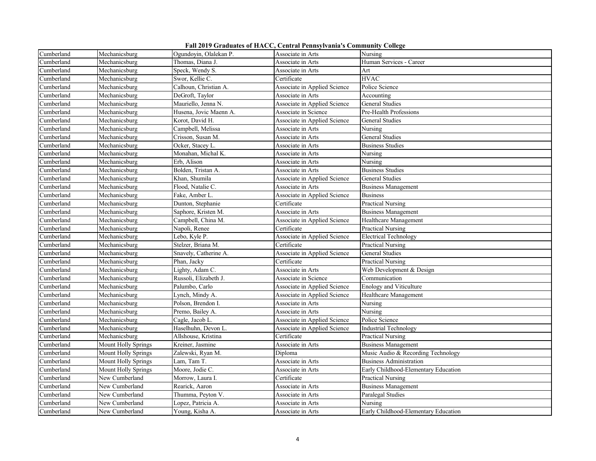|  |  |  |  | Fall 2019 Graduates of HACC, Central Pennsylvania's Community College |
|--|--|--|--|-----------------------------------------------------------------------|
|--|--|--|--|-----------------------------------------------------------------------|

| Cumberland | Mechanicsburg              | Ogundoyin, Olalekan P. | Associate in Arts            | Nursing                              |
|------------|----------------------------|------------------------|------------------------------|--------------------------------------|
| Cumberland | Mechanicsburg              | Thomas, Diana J.       | Associate in Arts            | Human Services - Career              |
| Cumberland | Mechanicsburg              | Speck, Wendy S.        | Associate in Arts            | Art                                  |
| Cumberland | Mechanicsburg              | Swor, Kellie C.        | Certificate                  | <b>HVAC</b>                          |
| Cumberland | Mechanicsburg              | Calhoun, Christian A.  | Associate in Applied Science | Police Science                       |
| Cumberland | Mechanicsburg              | DeGroft, Taylor        | Associate in Arts            | Accounting                           |
| Cumberland | Mechanicsburg              | Mauriello, Jenna N.    | Associate in Applied Science | <b>General Studies</b>               |
| Cumberland | Mechanicsburg              | Husena, Jovic Maenn A. | Associate in Science         | Pre-Health Professions               |
| Cumberland | Mechanicsburg              | Korot, David H.        | Associate in Applied Science | <b>General Studies</b>               |
| Cumberland | Mechanicsburg              | Campbell, Melissa      | Associate in Arts            | Nursing                              |
| Cumberland | Mechanicsburg              | Crisson, Susan M.      | Associate in Arts            | General Studies                      |
| Cumberland | Mechanicsburg              | Ocker, Stacey L.       | Associate in Arts            | <b>Business Studies</b>              |
| Cumberland | Mechanicsburg              | Monahan, Michal K.     | Associate in Arts            | Nursing                              |
| Cumberland | Mechanicsburg              | Erb, Alison            | Associate in Arts            | Nursing                              |
| Cumberland | Mechanicsburg              | Bolden, Tristan A.     | Associate in Arts            | <b>Business Studies</b>              |
| Cumberland | Mechanicsburg              | Khan, Shumila          | Associate in Applied Science | <b>General Studies</b>               |
| Cumberland | Mechanicsburg              | Flood, Natalie C.      | Associate in Arts            | <b>Business Management</b>           |
| Cumberland | Mechanicsburg              | Fake, Amber L.         | Associate in Applied Science | <b>Business</b>                      |
| Cumberland | Mechanicsburg              | Dunton, Stephanie      | Certificate                  | <b>Practical Nursing</b>             |
| Cumberland | Mechanicsburg              | Saphore, Kristen M.    | Associate in Arts            | <b>Business Management</b>           |
| Cumberland | Mechanicsburg              | Campbell, China M.     | Associate in Applied Science | Healthcare Management                |
| Cumberland | Mechanicsburg              | Napoli, Renee          | Certificate                  | <b>Practical Nursing</b>             |
| Cumberland | Mechanicsburg              | Lebo, Kyle P.          | Associate in Applied Science | <b>Electrical Technology</b>         |
| Cumberland | Mechanicsburg              | Stelzer, Briana M.     | Certificate                  | Practical Nursing                    |
| Cumberland | Mechanicsburg              | Snavely, Catherine A.  | Associate in Applied Science | <b>General Studies</b>               |
| Cumberland | Mechanicsburg              | Phan, Jacky            | Certificate                  | <b>Practical Nursing</b>             |
| Cumberland | Mechanicsburg              | Lighty, Adam C.        | Associate in Arts            | Web Development & Design             |
| Cumberland | Mechanicsburg              | Russoli, Elizabeth J.  | Associate in Science         | Communication                        |
| Cumberland | Mechanicsburg              | Palumbo, Carlo         | Associate in Applied Science | Enology and Viticulture              |
| Cumberland | Mechanicsburg              | Lynch, Mindy A.        | Associate in Applied Science | Healthcare Management                |
| Cumberland | Mechanicsburg              | Polson, Brendon I.     | Associate in Arts            | Nursing                              |
| Cumberland | Mechanicsburg              | Premo, Bailey A.       | Associate in Arts            | Nursing                              |
| Cumberland | Mechanicsburg              | Cagle, Jacob L.        | Associate in Applied Science | Police Science                       |
| Cumberland | Mechanicsburg              | Haselhuhn, Devon L.    | Associate in Applied Science | Industrial Technology                |
| Cumberland | Mechanicsburg              | Allshouse, Kristina    | Certificate                  | <b>Practical Nursing</b>             |
| Cumberland | <b>Mount Holly Springs</b> | Kreiner, Jasmine       | Associate in Arts            | <b>Business Management</b>           |
| Cumberland | Mount Holly Springs        | Zalewski, Ryan M.      | Diploma                      | Music Audio & Recording Technology   |
| Cumberland | Mount Holly Springs        | Lam, Tam T.            | Associate in Arts            | <b>Business Administration</b>       |
| Cumberland | Mount Holly Springs        | Moore, Jodie C.        | Associate in Arts            | Early Childhood-Elementary Education |
| Cumberland | New Cumberland             | Morrow, Laura I.       | Certificate                  | <b>Practical Nursing</b>             |
| Cumberland | New Cumberland             | Rearick, Aaron         | Associate in Arts            | <b>Business Management</b>           |
| Cumberland | New Cumberland             | Thumma, Peyton V.      | Associate in Arts            | Paralegal Studies                    |
| Cumberland | New Cumberland             | Lopez, Patricia A.     | Associate in Arts            | Nursing                              |
| Cumberland | New Cumberland             | Young, Kisha A.        | Associate in Arts            | Early Childhood-Elementary Education |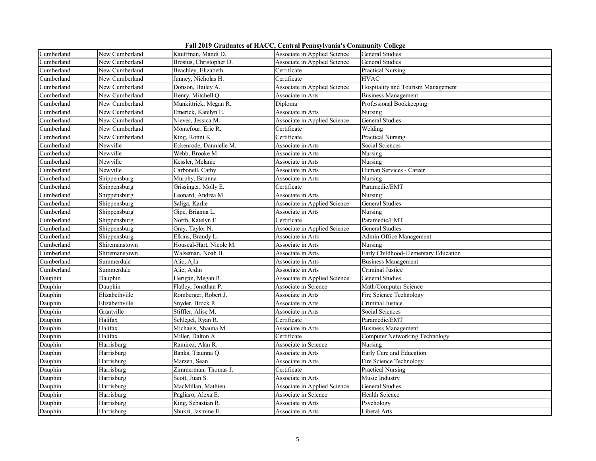| Fall 2019 Graduates of HACC, Central Pennsylvania's Community College |  |  |  |  |
|-----------------------------------------------------------------------|--|--|--|--|
|-----------------------------------------------------------------------|--|--|--|--|

|            |                |                         | $\ldots$ . The component of $\ldots$ . The contract $\ldots$ |                                       |
|------------|----------------|-------------------------|--------------------------------------------------------------|---------------------------------------|
| Cumberland | New Cumberland | Kauffman, Mandi D.      | Associate in Applied Science                                 | General Studies                       |
| Cumberland | New Cumberland | Brosius, Christopher D. | Associate in Applied Science                                 | General Studies                       |
| Cumberland | New Cumberland | Beachley, Elizabeth     | Certificate                                                  | <b>Practical Nursing</b>              |
| Cumberland | New Cumberland | Janney, Nicholas H.     | Certificate                                                  | <b>HVAC</b>                           |
| Cumberland | New Cumberland | Donson, Hailey A.       | Associate in Applied Science                                 | Hospitality and Tourism Management    |
| Cumberland | New Cumberland | Henry, Mitchell Q.      | Associate in Arts                                            | <b>Business Management</b>            |
| Cumberland | New Cumberland | Munkittrick, Megan R.   | Diploma                                                      | Professional Bookkeeping              |
| Cumberland | New Cumberland | Emerick, Katelyn E.     | Associate in Arts                                            | Nursing                               |
| Cumberland | New Cumberland | Nieves, Jessica M.      | Associate in Applied Science                                 | <b>General Studies</b>                |
| Cumberland | New Cumberland | Montefour, Eric R.      | Certificate                                                  | Welding                               |
| Cumberland | New Cumberland | King, Ronni K.          | Certificate                                                  | <b>Practical Nursing</b>              |
| Cumberland | Newville       | Eckenrode, Dannielle M. | Associate in Arts                                            | Social Sciences                       |
| Cumberland | Newville       | Webb, Brooke M.         | Associate in Arts                                            | Nursing                               |
| Cumberland | Newville       | Kessler, Melanie        | Associate in Arts                                            | Nursing                               |
| Cumberland | Newville       | Carbonell, Cathy        | Associate in Arts                                            | Human Services - Career               |
| Cumberland | Shippensburg   | Murphy, Brianna         | Associate in Arts                                            | Nursing                               |
| Cumberland | Shippensburg   | Grissinger, Molly E.    | Certificate                                                  | Paramedic/EMT                         |
| Cumberland | Shippensburg   | Leonard, Andrea M.      | Associate in Arts                                            | Nursing                               |
| Cumberland | Shippensburg   | Saliga, Karlie          | Associate in Applied Science                                 | <b>General Studies</b>                |
| Cumberland | Shippensburg   | Gipe, Brianna L.        | Associate in Arts                                            | Nursing                               |
| Cumberland | Shippensburg   | North, Katelyn E.       | Certificate                                                  | Paramedic/EMT                         |
| Cumberland | Shippensburg   | Gray, Taylor N.         | Associate in Applied Science                                 | <b>General Studies</b>                |
| Cumberland | Shippensburg   | Elkins, Brandy L.       | Associate in Arts                                            | Admin Office Management               |
| Cumberland | Shiremanstown  | Houseal-Hart, Nicole M. | Associate in Arts                                            | Nursing                               |
| Cumberland | Shiremanstown  | Walseman, Noah B.       | Associate in Arts                                            | Early Childhood-Elementary Education  |
| Cumberland | Summerdale     | Alic, Ajla              | Associate in Arts                                            | <b>Business Management</b>            |
| Cumberland | Summerdale     | Alic, Aidin             | Associate in Arts                                            | Criminal Justice                      |
| Dauphin    | Dauphin        | Herigan, Megan R.       | Associate in Applied Science                                 | General Studies                       |
| Dauphin    | Dauphin        | Flatley, Jonathan P.    | Associate in Science                                         | Math/Computer Science                 |
| Dauphin    | Elizabethville | Romberger, Robert J.    | Associate in Arts                                            | Fire Science Technology               |
| Dauphin    | Elizabethville | Snyder, Brock R.        | Associate in Arts                                            | Criminal Justice                      |
| Dauphin    | Grantville     | Stiffler, Alise M.      | Associate in Arts                                            | Social Sciences                       |
| Dauphin    | Halifax        | Schlegel, Ryan R.       | Certificate                                                  | Paramedic/EMT                         |
| Dauphin    | Halifax        | Michaels, Shauna M.     | Associate in Arts                                            | <b>Business Management</b>            |
| Dauphin    | Halifax        | Miller, Dalton A.       | Certificate                                                  | <b>Computer Networking Technology</b> |
| Dauphin    | Harrisburg     | Ramirez, Alan R.        | Associate in Science                                         | Nursing                               |
| Dauphin    | Harrisburg     | Banks, Tiaunna Q.       | Associate in Arts                                            | Early Care and Education              |
| Dauphin    | Harrisburg     | Marzen, Sean            | Associate in Arts                                            | Fire Science Technology               |
| Dauphin    | Harrisburg     | Zimmerman, Thomas J.    | Certificate                                                  | Practical Nursing                     |
| Dauphin    | Harrisburg     | Scott, Juan S.          | Associate in Arts                                            | Music Industry                        |
| Dauphin    | Harrisburg     | MacMillan, Mathieu      | Associate in Applied Science                                 | General Studies                       |
| Dauphin    | Harrisburg     | Pagliaro, Alexa E.      | Associate in Science                                         | Health Science                        |
| Dauphin    | Harrisburg     | King, Sebastian R.      | Associate in Arts                                            | Psychology                            |
| Dauphin    | Harrisburg     | Shukri, Jasmine H.      | Associate in Arts                                            | Liberal Arts                          |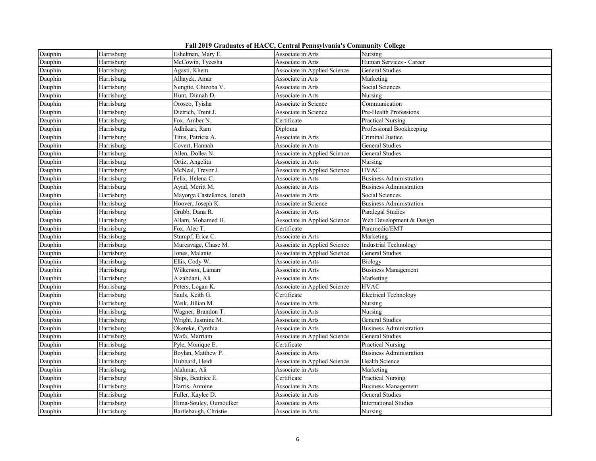| Fall 2019 Graduates of HACC, Central Pennsylvania's Community College |  |  |  |  |
|-----------------------------------------------------------------------|--|--|--|--|
|-----------------------------------------------------------------------|--|--|--|--|

| Dauphin | Harrisburg | Eshelman, Mary E.           | Associate in Arts            | Nursing                        |
|---------|------------|-----------------------------|------------------------------|--------------------------------|
| Dauphin | Harrisburg | McCowin, Tyeesha            | Associate in Arts            | Human Services - Career        |
| Dauphin | Harrisburg | Agasti, Khem                | Associate in Applied Science | General Studies                |
| Dauphin | Harrisburg | Alhayek, Amar               | Associate in Arts            | Marketing                      |
| Dauphin | Harrisburg | Nengite, Chizoba V.         | Associate in Arts            | Social Sciences                |
| Dauphin | Harrisburg | Hunt, Dinnah D.             | Associate in Arts            | Nursing                        |
| Dauphin | Harrisburg | Orosco, Tyisha              | Associate in Science         | Communication                  |
| Dauphin | Harrisburg | Dietrich, Trent J.          | Associate in Science         | Pre-Health Professions         |
| Dauphin | Harrisburg | Fox, Amber N.               | Certificate                  | <b>Practical Nursing</b>       |
| Dauphin | Harrisburg | Adhikari, Ram               | Diploma                      | Professional Bookkeeping       |
| Dauphin | Harrisburg | Titus, Patricia A.          | Associate in Arts            | Criminal Justice               |
| Dauphin | Harrisburg | Covert, Hannah              | Associate in Arts            | <b>General Studies</b>         |
| Dauphin | Harrisburg | Allen, Dollea N.            | Associate in Applied Science | General Studies                |
| Dauphin | Harrisburg | Ortiz, Angelita             | Associate in Arts            | Nursing                        |
| Dauphin | Harrisburg | McNeal, Trevor J.           | Associate in Applied Science | <b>HVAC</b>                    |
| Dauphin | Harrisburg | Felix, Helena C.            | Associate in Arts            | <b>Business Administration</b> |
| Dauphin | Harrisburg | Ayad, Meritt M.             | Associate in Arts            | <b>Business Administration</b> |
| Dauphin | Harrisburg | Mayorga Castellanos, Janeth | Associate in Arts            | Social Sciences                |
| Dauphin | Harrisburg | Hoover, Joseph K.           | Associate in Science         | <b>Business Administration</b> |
| Dauphin | Harrisburg | Grubb, Dana R.              | Associate in Arts            | Paralegal Studies              |
| Dauphin | Harrisburg | Allam, Mohamed H.           | Associate in Applied Science | Web Development & Design       |
| Dauphin | Harrisburg | Fox, Alec T.                | Certificate                  | Paramedic/EMT                  |
| Dauphin | Harrisburg | Stumpf, Erica C.            | Associate in Arts            | Marketing                      |
| Dauphin | Harrisburg | Murcavage, Chase M.         | Associate in Applied Science | Industrial Technology          |
| Dauphin | Harrisburg | Jones, Malanie              | Associate in Applied Science | General Studies                |
| Dauphin | Harrisburg | Ellis, Cody W.              | Associate in Arts            | Biology                        |
| Dauphin | Harrisburg | Wilkerson, Lamarr           | Associate in Arts            | <b>Business Management</b>     |
| Dauphin | Harrisburg | Alzabdani, Ali              | Associate in Arts            | Marketing                      |
| Dauphin | Harrisburg | Peters, Logan K.            | Associate in Applied Science | <b>HVAC</b>                    |
| Dauphin | Harrisburg | Sauls, Keith G.             | Certificate                  | <b>Electrical Technology</b>   |
| Dauphin | Harrisburg | Weik, Jillian M.            | Associate in Arts            | Nursing                        |
| Dauphin | Harrisburg | Wagner, Brandon T.          | Associate in Arts            | Nursing                        |
| Dauphin | Harrisburg | Wright, Jasmine M.          | Associate in Arts            | <b>General Studies</b>         |
| Dauphin | Harrisburg | Okereke, Cynthia            | Associate in Arts            | <b>Business Administration</b> |
| Dauphin | Harrisburg | Wafa, Marriam               | Associate in Applied Science | General Studies                |
| Dauphin | Harrisburg | Pyle, Monique E.            | Certificate                  | <b>Practical Nursing</b>       |
| Dauphin | Harrisburg | Boylan, Matthew P.          | Associate in Arts            | <b>Business Administration</b> |
| Dauphin | Harrisburg | Hubbard, Heidi              | Associate in Applied Science | Health Science                 |
| Dauphin | Harrisburg | Alahmar, Ali                | Associate in Arts            | Marketing                      |
| Dauphin | Harrisburg | Shipi, Beatrice E.          | Certificate                  | Practical Nursing              |
| Dauphin | Harrisburg | Harris, Antoine             | Associate in Arts            | <b>Business Management</b>     |
| Dauphin | Harrisburg | Fuller, Kaylee D.           | Associate in Arts            | General Studies                |
| Dauphin | Harrisburg | Hima-Souley, Oumoulker      | Associate in Arts            | <b>International Studies</b>   |
| Dauphin | Harrisburg | Bartlebaugh, Christie       | Associate in Arts            | Nursing                        |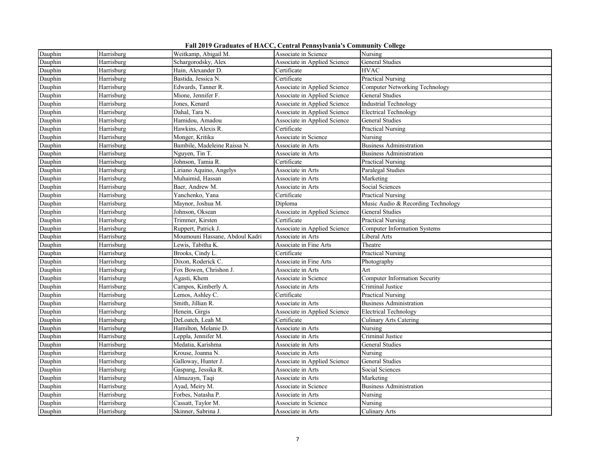|  |  |  |  | Fall 2019 Graduates of HACC, Central Pennsylvania's Community College |
|--|--|--|--|-----------------------------------------------------------------------|
|--|--|--|--|-----------------------------------------------------------------------|

| Dauphin | Harrisburg | Weitkamp, Abigail M.           | Associate in Science         | Nursing                               |
|---------|------------|--------------------------------|------------------------------|---------------------------------------|
| Dauphin | Harrisburg | Schargorodsky, Alex            | Associate in Applied Science | General Studies                       |
| Dauphin | Harrisburg | Hain, Alexander D.             | Certificate                  | <b>HVAC</b>                           |
| Dauphin | Harrisburg | Bastida, Jessica N.            | Certificate                  | <b>Practical Nursing</b>              |
| Dauphin | Harrisburg | Edwards, Tanner R.             | Associate in Applied Science | <b>Computer Networking Technology</b> |
| Dauphin | Harrisburg | Mione, Jennifer F.             | Associate in Applied Science | <b>General Studies</b>                |
| Dauphin | Harrisburg | Jones, Kenard                  | Associate in Applied Science | <b>Industrial Technology</b>          |
| Dauphin | Harrisburg | Dahal, Tara N.                 | Associate in Applied Science | Electrical Technology                 |
| Dauphin | Harrisburg | Hamidou, Amadou                | Associate in Applied Science | General Studies                       |
| Dauphin | Harrisburg | Hawkins, Alexis R.             | Certificate                  | Practical Nursing                     |
| Dauphin | Harrisburg | Monger, Kritika                | Associate in Science         | Nursing                               |
| Dauphin | Harrisburg | Bambile, Madeleine Raissa N.   | Associate in Arts            | <b>Business Administration</b>        |
| Dauphin | Harrisburg | Nguyen, Tin T.                 | Associate in Arts            | <b>Business Administration</b>        |
| Dauphin | Harrisburg | Johnson, Tamia R.              | Certificate                  | Practical Nursing                     |
| Dauphin | Harrisburg | Liriano Aquino, Angelys        | Associate in Arts            | Paralegal Studies                     |
| Dauphin | Harrisburg | Muhaimid, Hassan               | Associate in Arts            | Marketing                             |
| Dauphin | Harrisburg | Baer, Andrew M.                | Associate in Arts            | Social Sciences                       |
| Dauphin | Harrisburg | Yanchenko, Yana                | Certificate                  | Practical Nursing                     |
| Dauphin | Harrisburg | Maynor, Joshua M.              | Diploma                      | Music Audio & Recording Technology    |
| Dauphin | Harrisburg | Johnson, Oksean                | Associate in Applied Science | General Studies                       |
| Dauphin | Harrisburg | Trimmer, Kirsten               | Certificate                  | Practical Nursing                     |
| Dauphin | Harrisburg | Ruppert, Patrick J.            | Associate in Applied Science | <b>Computer Information Systems</b>   |
| Dauphin | Harrisburg | Moumouni Hassane, Abdoul Kadri | Associate in Arts            | Liberal Arts                          |
| Dauphin | Harrisburg | Lewis, Tabitha K.              | Associate in Fine Arts       | Theatre                               |
| Dauphin | Harrisburg | Brooks, Cindy L.               | Certificate                  | <b>Practical Nursing</b>              |
| Dauphin | Harrisburg | Dixon, Roderick C.             | Associate in Fine Arts       | Photography                           |
| Dauphin | Harrisburg | Fox Bowen, Chrishon J.         | Associate in Arts            | Art                                   |
| Dauphin | Harrisburg | Agasti, Khem                   | Associate in Science         | <b>Computer Information Security</b>  |
| Dauphin | Harrisburg | Campos, Kimberly A.            | Associate in Arts            | Criminal Justice                      |
| Dauphin | Harrisburg | Lemos, Ashley C.               | Certificate                  | Practical Nursing                     |
| Dauphin | Harrisburg | Smith, Jillian R.              | Associate in Arts            | <b>Business Administration</b>        |
| Dauphin | Harrisburg | Henein, Girgis                 | Associate in Applied Science | Electrical Technology                 |
| Dauphin | Harrisburg | DeLoatch, Leah M.              | Certificate                  | Culinary Arts Catering                |
| Dauphin | Harrisburg | Hamilton, Melanie D.           | Associate in Arts            | Nursing                               |
| Dauphin | Harrisburg | Leppla, Jennifer M.            | Associate in Arts            | Criminal Justice                      |
| Dauphin | Harrisburg | Medatia, Karishma              | Associate in Arts            | General Studies                       |
| Dauphin | Harrisburg | Krouse, Joanna N.              | Associate in Arts            | Nursing                               |
| Dauphin | Harrisburg | Galloway, Hunter J.            | Associate in Applied Science | General Studies                       |
| Dauphin | Harrisburg | Gaspang, Jessika R.            | Associate in Arts            | Social Sciences                       |
| Dauphin | Harrisburg | Almuzayn, Taqi                 | Associate in Arts            | Marketing                             |
| Dauphin | Harrisburg | Ayad, Meiry M.                 | Associate in Science         | <b>Business Administration</b>        |
| Dauphin | Harrisburg | Forbes, Natasha P.             | Associate in Arts            | Nursing                               |
| Dauphin | Harrisburg | Cassatt, Taylor M.             | Associate in Science         | Nursing                               |
| Dauphin | Harrisburg | Skinner, Sabrina J.            | Associate in Arts            | Culinary Arts                         |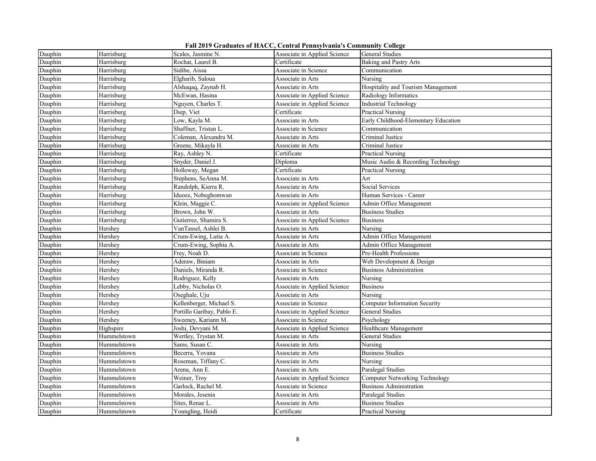| Fall 2019 Graduates of HACC, Central Pennsylvania's Community College |  |  |  |  |
|-----------------------------------------------------------------------|--|--|--|--|
|-----------------------------------------------------------------------|--|--|--|--|

| Dauphin | Harrisburg  | Scales, Jasmine N.         | Associate in Applied Science | General Studies                       |
|---------|-------------|----------------------------|------------------------------|---------------------------------------|
| Dauphin | Harrisburg  | Rochat, Laurel B.          | Certificate                  | Baking and Pastry Arts                |
| Dauphin | Harrisburg  | Sidibe, Aissa              | Associate in Science         | Communication                         |
| Dauphin | Harrisburg  | Elgharib, Saloua           | Associate in Arts            | Nursing                               |
| Dauphin | Harrisburg  | Alshaqaq, Zaynab H.        | Associate in Arts            | Hospitality and Tourism Management    |
| Dauphin | Harrisburg  | McEwan, Hasina             | Associate in Applied Science | Radiology Informatics                 |
| Dauphin | Harrisburg  | Nguyen, Charles T.         | Associate in Applied Science | Industrial Technology                 |
| Dauphin | Harrisburg  | Diep, Viet                 | Certificate                  | Practical Nursing                     |
| Dauphin | Harrisburg  | Low, Kayla M.              | Associate in Arts            | Early Childhood-Elementary Education  |
| Dauphin | Harrisburg  | Shaffner, Tristan L.       | Associate in Science         | Communication                         |
| Dauphin | Harrisburg  | Coleman, Alexandra M.      | Associate in Arts            | Criminal Justice                      |
| Dauphin | Harrisburg  | Greene, Mikayla H.         | Associate in Arts            | Criminal Justice                      |
| Dauphin | Harrisburg  | Ray, Ashley N.             | Certificate                  | Practical Nursing                     |
| Dauphin | Harrisburg  | Snyder, Daniel J.          | Diploma                      | Music Audio & Recording Technology    |
| Dauphin | Harrisburg  | Holloway, Megan            | Certificate                  | Practical Nursing                     |
| Dauphin | Harrisburg  | Stephens, SeAnna M.        | Associate in Arts            | Art                                   |
| Dauphin | Harrisburg  | Randolph, Kierra R.        | Associate in Arts            | Social Services                       |
| Dauphin | Harrisburg  | Iduoze, Nobeghomwan        | Associate in Arts            | Human Services - Career               |
| Dauphin | Harrisburg  | Klein, Maggie C.           | Associate in Applied Science | Admin Office Management               |
| Dauphin | Harrisburg  | Brown, John W.             | Associate in Arts            | <b>Business Studies</b>               |
| Dauphin | Harrisburg  | Gutierrez, Shamira S.      | Associate in Applied Science | <b>Business</b>                       |
| Dauphin | Hershey     | VanTassel, Ashlei B.       | Associate in Arts            | Nursing                               |
| Dauphin | Hershey     | Crum-Ewing, Lutia A.       | Associate in Arts            | Admin Office Management               |
| Dauphin | Hershey     | Crum-Ewing, Sophia A.      | Associate in Arts            | Admin Office Management               |
| Dauphin | Hershey     | Frey, Noah D.              | Associate in Science         | Pre-Health Professions                |
| Dauphin | Hershey     | Aderaw, Biniam             | Associate in Arts            | Web Development & Design              |
| Dauphin | Hershey     | Daniels, Miranda R.        | Associate in Science         | <b>Business Administration</b>        |
| Dauphin | Hershey     | Rodriguez, Kelly           | Associate in Arts            | Nursing                               |
| Dauphin | Hershey     | Lebby, Nicholas O.         | Associate in Applied Science | <b>Business</b>                       |
| Dauphin | Hershey     | Oseghale, Uju              | Associate in Arts            | Nursing                               |
| Dauphin | Hershey     | Kellenberger, Michael S.   | Associate in Science         | <b>Computer Information Security</b>  |
| Dauphin | Hershey     | Portillo Garibay, Pablo E. | Associate in Applied Science | General Studies                       |
| Dauphin | Hershey     | Sweeney, Kariann M.        | Associate in Science         | Psychology                            |
| Dauphin | Highspire   | Joshi, Devyani M.          | Associate in Applied Science | Healthcare Management                 |
| Dauphin | Hummelstown | Wertley, Trystan M.        | Associate in Arts            | <b>General Studies</b>                |
| Dauphin | Hummelstown | Sams, Susan C.             | Associate in Arts            | Nursing                               |
| Dauphin | Hummelstown | Becerra, Yovana            | Associate in Arts            | <b>Business Studies</b>               |
| Dauphin | Hummelstown | Roseman, Tiffany C.        | Associate in Arts            | Nursing                               |
| Dauphin | Hummelstown | Arena, Ann E.              | Associate in Arts            | Paralegal Studies                     |
| Dauphin | Hummelstown | Weiner, Troy               | Associate in Applied Science | <b>Computer Networking Technology</b> |
| Dauphin | Hummelstown | Garlock, Rachel M.         | Associate in Science         | <b>Business Administration</b>        |
| Dauphin | Hummelstown | Morales, Jesenia           | Associate in Arts            | Paralegal Studies                     |
| Dauphin | Hummelstown | Sites, Renae L.            | Associate in Arts            | <b>Business Studies</b>               |
| Dauphin | Hummelstown | Youngling, Heidi           | Certificate                  | <b>Practical Nursing</b>              |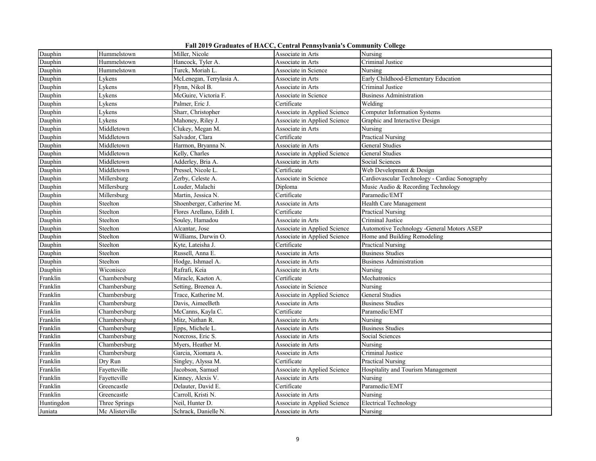|  |  |  |  | Fall 2019 Graduates of HACC, Central Pennsylvania's Community College |
|--|--|--|--|-----------------------------------------------------------------------|
|--|--|--|--|-----------------------------------------------------------------------|

| Dauphin    | Hummelstown     | Miller, Nicole            | Associate in Arts            | Nursing                                        |
|------------|-----------------|---------------------------|------------------------------|------------------------------------------------|
| Dauphin    | Hummelstown     | Hancock, Tyler A.         | Associate in Arts            | Criminal Justice                               |
| Dauphin    | Hummelstown     | Turck, Moriah L.          | Associate in Science         | Nursing                                        |
| Dauphin    | Lykens          | McLenegan, Terrylasia A.  | Associate in Arts            | Early Childhood-Elementary Education           |
| Dauphin    | Lykens          | Flynn, Nikol B.           | Associate in Arts            | Criminal Justice                               |
| Dauphin    | Lykens          | McGuire, Victoria F.      | Associate in Science         | <b>Business Administration</b>                 |
| Dauphin    | Lykens          | Palmer, Eric J.           | Certificate                  | Welding                                        |
| Dauphin    | Lykens          | Sharr, Christopher        | Associate in Applied Science | <b>Computer Information Systems</b>            |
| Dauphin    | Lykens          | Mahoney, Riley J.         | Associate in Applied Science | Graphic and Interactive Design                 |
| Dauphin    | Middletown      | Clukey, Megan M.          | Associate in Arts            | Nursing                                        |
| Dauphin    | Middletown      | Salvador, Clara           | Certificate                  | <b>Practical Nursing</b>                       |
| Dauphin    | Middletown      | Harmon, Bryanna N.        | Associate in Arts            | General Studies                                |
| Dauphin    | Middletown      | Kelly, Charles            | Associate in Applied Science | General Studies                                |
| Dauphin    | Middletown      | Adderley, Bria A.         | Associate in Arts            | Social Sciences                                |
| Dauphin    | Middletown      | Pressel, Nicole L.        | Certificate                  | Web Development & Design                       |
| Dauphin    | Millersburg     | Zerby, Celeste A.         | Associate in Science         | Cardiovascular Technology - Cardiac Sonography |
| Dauphin    | Millersburg     | Louder, Malachi           | Diploma                      | Music Audio & Recording Technology             |
| Dauphin    | Millersburg     | Martin, Jessica N.        | Certificate                  | Paramedic/EMT                                  |
| Dauphin    | Steelton        | Shoenberger, Catherine M. | Associate in Arts            | Health Care Management                         |
| Dauphin    | Steelton        | Flores Arellano, Edith I. | Certificate                  | <b>Practical Nursing</b>                       |
| Dauphin    | Steelton        | Souley, Hamadou           | Associate in Arts            | Criminal Justice                               |
| Dauphin    | Steelton        | Alcantar, Jose            | Associate in Applied Science | Automotive Technology -General Motors ASEP     |
| Dauphin    | Steelton        | Williams, Darwin O.       | Associate in Applied Science | Home and Building Remodeling                   |
| Dauphin    | Steelton        | Kyte, Lateisha J.         | Certificate                  | Practical Nursing                              |
| Dauphin    | Steelton        | Russell, Anna E.          | Associate in Arts            | <b>Business Studies</b>                        |
| Dauphin    | Steelton        | Hodge, Ishmael A.         | Associate in Arts            | <b>Business Administration</b>                 |
| Dauphin    | Wiconisco       | Rafrafi, Keia             | Associate in Arts            | Nursing                                        |
| Franklin   | Chambersburg    | Miracle, Kaeton A.        | Certificate                  | Mechatronics                                   |
| Franklin   | Chambersburg    | Setting, Breenea A.       | Associate in Science         | Nursing                                        |
| Franklin   | Chambersburg    | Trace, Katherine M.       | Associate in Applied Science | <b>General Studies</b>                         |
| Franklin   | Chambersburg    | Davis, AimeeBeth          | Associate in Arts            | <b>Business Studies</b>                        |
| Franklin   | Chambersburg    | McCanns, Kayla C.         | Certificate                  | Paramedic/EMT                                  |
| Franklin   | Chambersburg    | Mitz, Nathan R.           | Associate in Arts            | Nursing                                        |
| Franklin   | Chambersburg    | Epps, Michele L.          | Associate in Arts            | <b>Business Studies</b>                        |
| Franklin   | Chambersburg    | Norcross, Eric S.         | Associate in Arts            | Social Sciences                                |
| Franklin   | Chambersburg    | Myers, Heather M.         | Associate in Arts            | Nursing                                        |
| Franklin   | Chambersburg    | Garcia, Xiomara A.        | Associate in Arts            | Criminal Justice                               |
| Franklin   | Dry Run         | Singley, Alyssa M.        | Certificate                  | Practical Nursing                              |
| Franklin   | Fayetteville    | Jacobson, Samuel          | Associate in Applied Science | Hospitality and Tourism Management             |
| Franklin   | Fayetteville    | Kinney, Alexis V.         | Associate in Arts            | Nursing                                        |
| Franklin   | Greencastle     | Delauter, David E.        | Certificate                  | Paramedic/EMT                                  |
| Franklin   | Greencastle     | Carroll, Kristi N.        | Associate in Arts            | Nursing                                        |
| Huntingdon | Three Springs   | Neil, Hunter D.           | Associate in Applied Science | Electrical Technology                          |
| Juniata    | Mc Alisterville | Schrack, Danielle N.      | Associate in Arts            | Nursing                                        |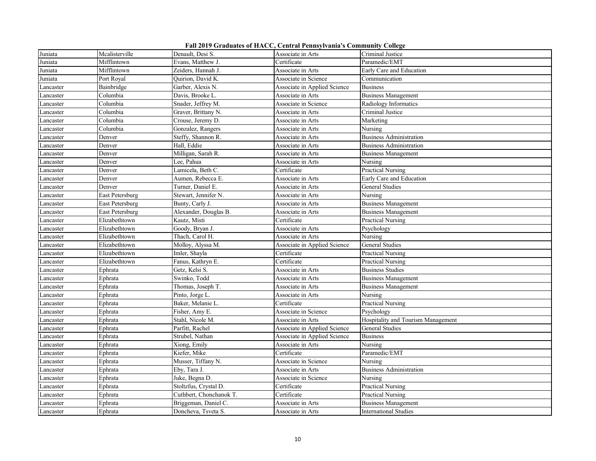|  |  |  |  | Fall 2019 Graduates of HACC, Central Pennsylvania's Community College |
|--|--|--|--|-----------------------------------------------------------------------|
|--|--|--|--|-----------------------------------------------------------------------|

| Juniata   | Mcalisterville  | Denault, Desi S.        | Associate in Arts            | Criminal Justice                   |
|-----------|-----------------|-------------------------|------------------------------|------------------------------------|
| Juniata   | Mifflintown     | Evans, Matthew J.       | Certificate                  | Paramedic/EMT                      |
| Juniata   | Mifflintown     | Zeiders, Hannah J.      | Associate in Arts            | Early Care and Education           |
| Juniata   | Port Royal      | Quirion, David K.       | Associate in Science         | Communication                      |
| Lancaster | Bainbridge      | Garber, Alexis N.       | Associate in Applied Science | <b>Business</b>                    |
| Lancaster | Columbia        | Davis, Brooke L.        | Associate in Arts            | <b>Business Management</b>         |
| Lancaster | Columbia        | Snader, Jeffrey M.      | Associate in Science         | Radiology Informatics              |
| Lancaster | Columbia        | Graver, Brittany N.     | Associate in Arts            | Criminal Justice                   |
| Lancaster | Columbia        | Crouse, Jeremy D.       | Associate in Arts            | Marketing                          |
| Lancaster | Columbia        | Gonzalez, Rangers       | Associate in Arts            | Nursing                            |
| Lancaster | Denver          | Steffy, Shannon R.      | Associate in Arts            | <b>Business Administration</b>     |
| Lancaster | Denver          | Hall, Eddie             | Associate in Arts            | <b>Business Administration</b>     |
| Lancaster | Denver          | Milligan, Sarah R.      | Associate in Arts            | <b>Business Management</b>         |
| Lancaster | Denver          | Lee, Pahua              | Associate in Arts            | Nursing                            |
| Lancaster | Denver          | Lamicela, Beth C.       | Certificate                  | <b>Practical Nursing</b>           |
| Lancaster | Denver          | Aumen, Rebecca E.       | Associate in Arts            | Early Care and Education           |
| Lancaster | Denver          | Turner, Daniel E.       | Associate in Arts            | General Studies                    |
| Lancaster | East Petersburg | Stewart, Jennifer N.    | Associate in Arts            | Nursing                            |
| Lancaster | East Petersburg | Bunty, Carly J.         | Associate in Arts            | <b>Business Management</b>         |
| Lancaster | East Petersburg | Alexander, Douglas B.   | Associate in Arts            | <b>Business Management</b>         |
| Lancaster | Elizabethtown   | Kautz, Misti            | Certificate                  | Practical Nursing                  |
| Lancaster | Elizabethtown   | Goody, Bryan J.         | Associate in Arts            | Psychology                         |
| Lancaster | Elizabethtown   | Thach, Carol H.         | Associate in Arts            | Nursing                            |
| Lancaster | Elizabethtown   | Molloy, Alyssa M.       | Associate in Applied Science | General Studies                    |
| Lancaster | Elizabethtown   | Imler, Shayla           | Certificate                  | Practical Nursing                  |
| Lancaster | Elizabethtown   | Fanus, Kathryn E.       | Certificate                  | Practical Nursing                  |
| Lancaster | Ephrata         | Getz, Kelsi S.          | Associate in Arts            | <b>Business Studies</b>            |
| Lancaster | Ephrata         | Swinko, Todd            | Associate in Arts            | <b>Business Management</b>         |
| Lancaster | Ephrata         | Thomas, Joseph T.       | Associate in Arts            | <b>Business Management</b>         |
| Lancaster | Ephrata         | Pinto, Jorge L.         | Associate in Arts            | Nursing                            |
| Lancaster | Ephrata         | Baker, Melanie L.       | Certificate                  | <b>Practical Nursing</b>           |
| Lancaster | Ephrata         | Fisher, Amy E.          | Associate in Science         | Psychology                         |
| Lancaster | Ephrata         | Stahl, Nicole M.        | Associate in Arts            | Hospitality and Tourism Management |
| Lancaster | Ephrata         | Parfitt, Rachel         | Associate in Applied Science | General Studies                    |
| Lancaster | Ephrata         | Strubel, Nathan         | Associate in Applied Science | <b>Business</b>                    |
| Lancaster | Ephrata         | Xiong, Emily            | Associate in Arts            | Nursing                            |
| Lancaster | Ephrata         | Kiefer, Mike            | Certificate                  | Paramedic/EMT                      |
| Lancaster | Ephrata         | Musser, Tiffany N.      | Associate in Science         | Nursing                            |
| Lancaster | Ephrata         | Eby, Tara J.            | Associate in Arts            | <b>Business Administration</b>     |
| Lancaster | Ephrata         | Juke, Begna D.          | Associate in Science         | Nursing                            |
| Lancaster | Ephrata         | Stoltzfus, Crystal D.   | Certificate                  | Practical Nursing                  |
| Lancaster | Ephrata         | Cuthbert, Chonchanok T. | Certificate                  | Practical Nursing                  |
| Lancaster | Ephrata         | Briggeman, Daniel C.    | Associate in Arts            | <b>Business Management</b>         |
| Lancaster | Ephrata         | Doncheva, Tsveta S.     | Associate in Arts            | <b>International Studies</b>       |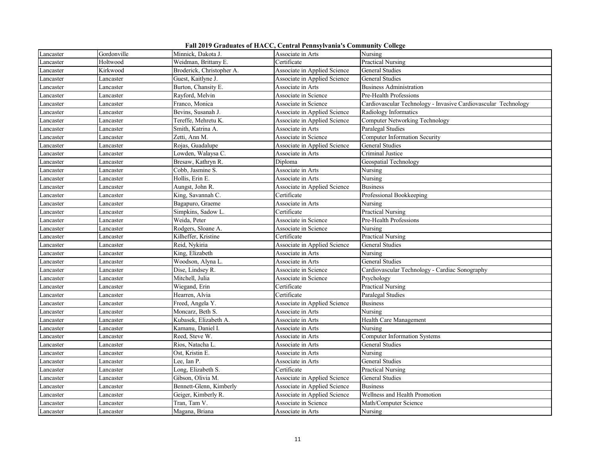|  |  |  |  | Fall 2019 Graduates of HACC, Central Pennsylvania's Community College |
|--|--|--|--|-----------------------------------------------------------------------|
|--|--|--|--|-----------------------------------------------------------------------|

| Lancaster | Gordonville | Minnick, Dakota J.        | Associate in Arts            | Nursing                                                        |
|-----------|-------------|---------------------------|------------------------------|----------------------------------------------------------------|
| Lancaster | Holtwood    | Weidman, Brittany E.      | Certificate                  | <b>Practical Nursing</b>                                       |
| Lancaster | Kirkwood    | Broderick, Christopher A. | Associate in Applied Science | General Studies                                                |
| Lancaster | Lancaster   | Guest, Kaitlyne J.        | Associate in Applied Science | General Studies                                                |
| Lancaster | Lancaster   | Burton, Chansity E.       | Associate in Arts            | Business Administration                                        |
| Lancaster | Lancaster   | Rayford, Melvin           | Associate in Science         | Pre-Health Professions                                         |
| Lancaster | Lancaster   | Franco, Monica            | Associate in Science         | Cardiovascular Technology - Invasive Cardiovascular Technology |
| Lancaster | Lancaster   | Bevins, Susanah J.        | Associate in Applied Science | Radiology Informatics                                          |
| Lancaster | Lancaster   | Tereffe, Mehretu K.       | Associate in Applied Science | <b>Computer Networking Technology</b>                          |
| Lancaster | Lancaster   | Smith, Katrina A.         | Associate in Arts            | Paralegal Studies                                              |
| Lancaster | Lancaster   | Zetti, Ann M.             | Associate in Science         | <b>Computer Information Security</b>                           |
| Lancaster | Lancaster   | Rojas, Guadalupe          | Associate in Applied Science | General Studies                                                |
| Lancaster | Lancaster   | Lowden, Walaysa C.        | Associate in Arts            | Criminal Justice                                               |
| Lancaster | Lancaster   | Bresaw, Kathryn R.        | Diploma                      | Geospatial Technology                                          |
| Lancaster | Lancaster   | Cobb, Jasmine S.          | Associate in Arts            | Nursing                                                        |
| Lancaster | Lancaster   | Hollis, Erin E.           | Associate in Arts            | Nursing                                                        |
| Lancaster | Lancaster   | Aungst, John R.           | Associate in Applied Science | <b>Business</b>                                                |
| Lancaster | Lancaster   | King, Savannah C.         | Certificate                  | Professional Bookkeeping                                       |
| Lancaster | Lancaster   | Bagapuro, Graeme          | Associate in Arts            | Nursing                                                        |
| Lancaster | Lancaster   | Simpkins, Sadow L         | Certificate                  | <b>Practical Nursing</b>                                       |
| Lancaster | Lancaster   | Weida, Peter              | Associate in Science         | Pre-Health Professions                                         |
| Lancaster | Lancaster   | Rodgers, Sloane A.        | Associate in Science         | Nursing                                                        |
| Lancaster | Lancaster   | Kilheffer, Kristine       | Certificate                  | <b>Practical Nursing</b>                                       |
| Lancaster | Lancaster   | Reid, Nykiria             | Associate in Applied Science | General Studies                                                |
| Lancaster | Lancaster   | King, Elizabeth           | Associate in Arts            | Nursing                                                        |
| Lancaster | Lancaster   | Woodson, Alyna L.         | Associate in Arts            | General Studies                                                |
| Lancaster | Lancaster   | Dise, Lindsey R.          | Associate in Science         | Cardiovascular Technology - Cardiac Sonography                 |
| Lancaster | Lancaster   | Mitchell, Julia           | Associate in Science         | Psychology                                                     |
| Lancaster | Lancaster   | Wiegand, Erin             | Certificate                  | <b>Practical Nursing</b>                                       |
| Lancaster | Lancaster   | Hearren, Alvia            | Certificate                  | Paralegal Studies                                              |
| Lancaster | Lancaster   | Freed, Angela Y.          | Associate in Applied Science | <b>Business</b>                                                |
| Lancaster | Lancaster   | Moncarz, Beth S.          | Associate in Arts            | Nursing                                                        |
| Lancaster | Lancaster   | Kubasek, Elizabeth A.     | Associate in Arts            | Health Care Management                                         |
| Lancaster | Lancaster   | Kamanu, Daniel I.         | Associate in Arts            | Nursing                                                        |
| Lancaster | Lancaster   | Reed, Steve W.            | Associate in Arts            | <b>Computer Information Systems</b>                            |
| Lancaster | Lancaster   | Rios, Natacha L.          | Associate in Arts            | General Studies                                                |
| Lancaster | Lancaster   | Ost, Kristin E.           | Associate in Arts            | Nursing                                                        |
| Lancaster | Lancaster   | Lee, Ian P.               | Associate in Arts            | <b>General Studies</b>                                         |
| Lancaster | Lancaster   | Long, Elizabeth S.        | Certificate                  | Practical Nursing                                              |
| Lancaster | Lancaster   | Gibson, Olivia M.         | Associate in Applied Science | <b>General Studies</b>                                         |
| Lancaster | Lancaster   | Bennett-Glenn, Kimberly   | Associate in Applied Science | <b>Business</b>                                                |
| Lancaster | Lancaster   | Geiger, Kimberly R.       | Associate in Applied Science | Wellness and Health Promotion                                  |
| Lancaster | Lancaster   | Tran, Tam V.              | Associate in Science         | Math/Computer Science                                          |
| Lancaster | Lancaster   | Magana, Briana            | Associate in Arts            | Nursing                                                        |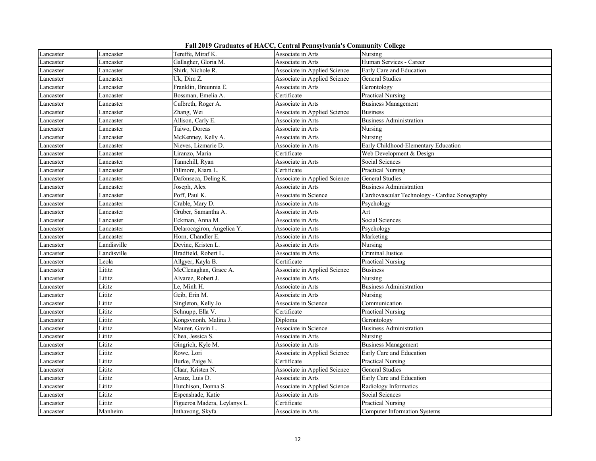| Fall 2019 Graduates of HACC, Central Pennsylvania's Community College |  |  |  |  |
|-----------------------------------------------------------------------|--|--|--|--|
|-----------------------------------------------------------------------|--|--|--|--|

| Lancaster | Lancaster   | Tereffe, Miraf K.            | Associate in Arts            | Nursing                                        |
|-----------|-------------|------------------------------|------------------------------|------------------------------------------------|
| Lancaster | Lancaster   | Gallagher, Gloria M.         | Associate in Arts            | Human Services - Career                        |
| Lancaster | Lancaster   | Shirk, Nichole R.            | Associate in Applied Science | Early Care and Education                       |
| Lancaster | Lancaster   | Uk, Dim Z.                   | Associate in Applied Science | <b>General Studies</b>                         |
| Lancaster | Lancaster   | Franklin, Breunnia E.        | Associate in Arts            | Gerontology                                    |
| Lancaster | Lancaster   | Bossman, Emelia A.           | Certificate                  | <b>Practical Nursing</b>                       |
| Lancaster | Lancaster   | Culbreth, Roger A.           | Associate in Arts            | <b>Business Management</b>                     |
| Lancaster | Lancaster   | Zhang, Wei                   | Associate in Applied Science | <b>Business</b>                                |
| Lancaster | Lancaster   | Allison, Carly E.            | Associate in Arts            | <b>Business Administration</b>                 |
| Lancaster | Lancaster   | Taiwo, Dorcas                | Associate in Arts            | Nursing                                        |
| Lancaster | Lancaster   | McKenney, Kelly A.           | Associate in Arts            | Nursing                                        |
| Lancaster | Lancaster   | Nieves, Lizmarie D.          | Associate in Arts            | Early Childhood-Elementary Education           |
| Lancaster | Lancaster   | Liranzo, Maria               | Certificate                  | Web Development & Design                       |
| Lancaster | Lancaster   | Tannehill, Ryan              | Associate in Arts            | Social Sciences                                |
| Lancaster | Lancaster   | Fillmore, Kiara L.           | Certificate                  | <b>Practical Nursing</b>                       |
| Lancaster | Lancaster   | Dafonseca, Deling K.         | Associate in Applied Science | General Studies                                |
| Lancaster | Lancaster   | Joseph, Alex                 | Associate in Arts            | <b>Business Administration</b>                 |
| Lancaster | Lancaster   | Poff, Paul K.                | Associate in Science         | Cardiovascular Technology - Cardiac Sonography |
| Lancaster | Lancaster   | Crable, Mary D.              | Associate in Arts            | Psychology                                     |
| Lancaster | Lancaster   | Gruber, Samantha A.          | Associate in Arts            | Art                                            |
| Lancaster | Lancaster   | Eckman, Anna M.              | Associate in Arts            | Social Sciences                                |
| Lancaster | Lancaster   | Delarocagiron, Angelica Y.   | Associate in Arts            | Psychology                                     |
| Lancaster | Lancaster   | Horn, Chandler E.            | Associate in Arts            | Marketing                                      |
| Lancaster | Landisville | Devine, Kristen L.           | Associate in Arts            | Nursing                                        |
| Lancaster | Landisville | Bradfield, Robert L.         | Associate in Arts            | Criminal Justice                               |
| Lancaster | Leola       | Allgyer, Kayla B.            | Certificate                  | <b>Practical Nursing</b>                       |
| Lancaster | Lititz      | McClenaghan, Grace A.        | Associate in Applied Science | <b>Business</b>                                |
| Lancaster | Lititz      | Alvarez, Robert J.           | Associate in Arts            | Nursing                                        |
| Lancaster | Lititz      | Le, Minh H.                  | Associate in Arts            | <b>Business Administration</b>                 |
| Lancaster | Lititz      | Geib, Erin M.                | Associate in Arts            | Nursing                                        |
| Lancaster | Lititz      | Singleton, Kelly Jo          | Associate in Science         | Communication                                  |
| Lancaster | Lititz      | Schnupp, Ella V.             | Certificate                  | <b>Practical Nursing</b>                       |
| Lancaster | Lititz      | Kongsynonh, Malina J.        | Diploma                      | Gerontology                                    |
| Lancaster | Lititz      | Maurer, Gavin L.             | Associate in Science         | <b>Business Administration</b>                 |
| Lancaster | Lititz      | Chea, Jessica S.             | Associate in Arts            | Nursing                                        |
| Lancaster | Lititz      | Gingrich, Kyle M.            | Associate in Arts            | <b>Business Management</b>                     |
| Lancaster | Lititz      | Rowe, Lori                   | Associate in Applied Science | Early Care and Education                       |
| Lancaster | Lititz      | Burke, Paige N.              | Certificate                  | <b>Practical Nursing</b>                       |
| Lancaster | Lititz      | Claar, Kristen N.            | Associate in Applied Science | General Studies                                |
| Lancaster | Lititz      | Arauz, Luis D.               | Associate in Arts            | Early Care and Education                       |
| Lancaster | Lititz      | Hutchison, Donna S.          | Associate in Applied Science | Radiology Informatics                          |
| Lancaster | Lititz      | Espenshade, Katie            | Associate in Arts            | Social Sciences                                |
| Lancaster | Lititz      | Figueroa Madera, Leylanys L. | Certificate                  | <b>Practical Nursing</b>                       |
| Lancaster | Manheim     | Inthavong, Skyfa             | Associate in Arts            | <b>Computer Information Systems</b>            |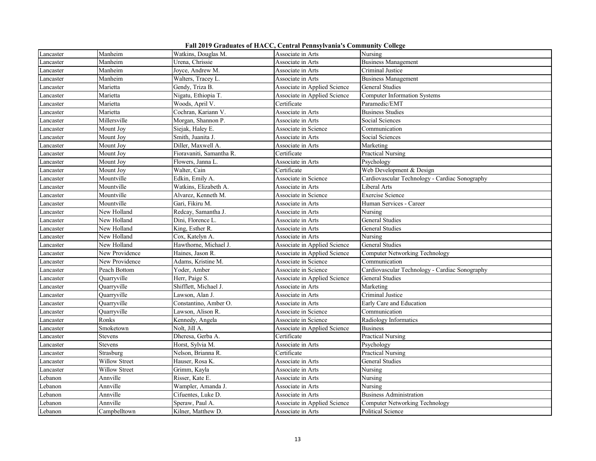|  |  |  |  | Fall 2019 Graduates of HACC, Central Pennsylvania's Community College |
|--|--|--|--|-----------------------------------------------------------------------|
|--|--|--|--|-----------------------------------------------------------------------|

| Lancaster | Manheim        | Watkins, Douglas M.      | Associate in Arts            | Nursing                                        |
|-----------|----------------|--------------------------|------------------------------|------------------------------------------------|
| Lancaster | Manheim        | Urena, Chrissie          | Associate in Arts            | <b>Business Management</b>                     |
| Lancaster | Manheim        | Joyce, Andrew M.         | Associate in Arts            | Criminal Justice                               |
| Lancaster | Manheim        | Walters, Tracey L.       | Associate in Arts            | <b>Business Management</b>                     |
| Lancaster | Marietta       | Gendy, Triza B.          | Associate in Applied Science | <b>General Studies</b>                         |
| Lancaster | Marietta       | Nigatu, Ethiopia T.      | Associate in Applied Science | <b>Computer Information Systems</b>            |
| Lancaster | Marietta       | Woods, April V.          | Certificate                  | Paramedic/EMT                                  |
| Lancaster | Marietta       | Cochran, Kariann V.      | Associate in Arts            | <b>Business Studies</b>                        |
| Lancaster | Millersville   | Morgan, Shannon P.       | Associate in Arts            | Social Sciences                                |
| Lancaster | Mount Joy      | Siejak, Haley E.         | Associate in Science         | Communication                                  |
| Lancaster | Mount Joy      | Smith, Juanita J.        | Associate in Arts            | Social Sciences                                |
| Lancaster | Mount Joy      | Diller, Maxwell A.       | Associate in Arts            | Marketing                                      |
| Lancaster | Mount Joy      | Fioravaniti, Samantha R. | Certificate                  | <b>Practical Nursing</b>                       |
| Lancaster | Mount Joy      | Flowers, Janna L.        | Associate in Arts            | Psychology                                     |
| Lancaster | Mount Joy      | Walter, Cain             | Certificate                  | Web Development & Design                       |
| Lancaster | Mountville     | Edkin, Emily A.          | Associate in Science         | Cardiovascular Technology - Cardiac Sonography |
| Lancaster | Mountville     | Watkins, Elizabeth A.    | Associate in Arts            | Liberal Arts                                   |
| Lancaster | Mountville     | Alvarez, Kenneth M.      | Associate in Science         | <b>Exercise Science</b>                        |
| Lancaster | Mountville     | Gari, Fikiru M.          | Associate in Arts            | Human Services - Career                        |
| Lancaster | New Holland    | Redcay, Samantha J.      | Associate in Arts            | Nursing                                        |
| Lancaster | New Holland    | Dini, Florence L.        | Associate in Arts            | General Studies                                |
| Lancaster | New Holland    | King, Esther R.          | Associate in Arts            | <b>General Studies</b>                         |
| Lancaster | New Holland    | Cox, Katelyn A.          | Associate in Arts            | Nursing                                        |
| Lancaster | New Holland    | Hawthorne, Michael J.    | Associate in Applied Science | <b>General Studies</b>                         |
| Lancaster | New Providence | Haines, Jason R.         | Associate in Applied Science | Computer Networking Technology                 |
| Lancaster | New Providence | Adams, Kristine M.       | Associate in Science         | Communication                                  |
| Lancaster | Peach Bottom   | Yoder, Amber             | Associate in Science         | Cardiovascular Technology - Cardiac Sonography |
| Lancaster | Quarryville    | Herr, Paige S.           | Associate in Applied Science | General Studies                                |
| Lancaster | Quarryville    | Shifflett, Michael J.    | Associate in Arts            | Marketing                                      |
| Lancaster | Quarryville    | Lawson, Alan J.          | Associate in Arts            | Criminal Justice                               |
| Lancaster | Ouarryville    | Constantino, Amber O.    | Associate in Arts            | Early Care and Education                       |
| Lancaster | Quarryville    | Lawson, Alison R.        | Associate in Science         | Communication                                  |
| Lancaster | Ronks          | Kennedy, Angela          | Associate in Science         | Radiology Informatics                          |
| Lancaster | Smoketown      | Nolt, Jill A.            | Associate in Applied Science | <b>Business</b>                                |
| Lancaster | Stevens        | Dheresa, Gerba A.        | Certificate                  | Practical Nursing                              |
| Lancaster | Stevens        | Horst, Sylvia M.         | Associate in Arts            | Psychology                                     |
| Lancaster | Strasburg      | Nelson, Brianna R.       | Certificate                  | <b>Practical Nursing</b>                       |
| Lancaster | Willow Street  | Hauser, Rosa K.          | Associate in Arts            | General Studies                                |
| Lancaster | Willow Street  | Grimm, Kayla             | Associate in Arts            | Nursing                                        |
| Lebanon   | Annville       | Risser, Kate E.          | Associate in Arts            | Nursing                                        |
| Lebanon   | Annville       | Wampler, Amanda J.       | Associate in Arts            | Nursing                                        |
| Lebanon   | Annville       | Cifuentes, Luke D.       | Associate in Arts            | <b>Business Administration</b>                 |
| Lebanon   | Annville       | Speraw, Paul A.          | Associate in Applied Science | <b>Computer Networking Technology</b>          |
| Lebanon   | Campbelltown   | Kilner, Matthew D.       | Associate in Arts            | Political Science                              |
|           |                |                          |                              |                                                |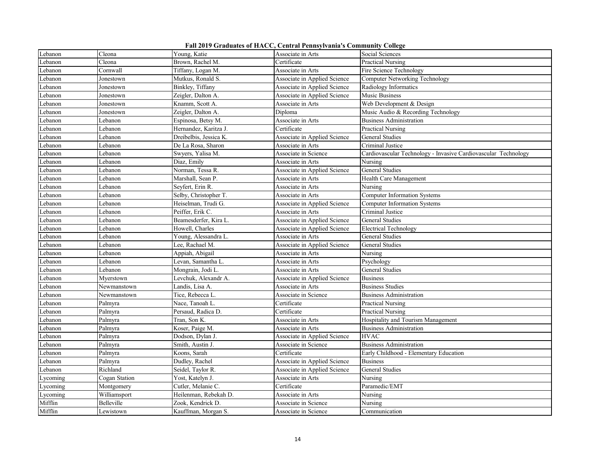|  |  |  |  | Fall 2019 Graduates of HACC, Central Pennsylvania's Community College |
|--|--|--|--|-----------------------------------------------------------------------|
|--|--|--|--|-----------------------------------------------------------------------|

| Lebanon  | Cleona        | Young, Katie           | Associate in Arts            | Social Sciences                                                |
|----------|---------------|------------------------|------------------------------|----------------------------------------------------------------|
| Lebanon  | Cleona        | Brown, Rachel M.       | Certificate                  | <b>Practical Nursing</b>                                       |
| Lebanon  | Cornwall      | Tiffany, Logan M.      | Associate in Arts            | Fire Science Technology                                        |
| Lebanon  | Jonestown     | Mutkus, Ronald S.      | Associate in Applied Science | Computer Networking Technology                                 |
| Lebanon  | Jonestown     | Binkley, Tiffany       | Associate in Applied Science | Radiology Informatics                                          |
| Lebanon  | Jonestown     | Zeigler, Dalton A.     | Associate in Applied Science | Music Business                                                 |
| Lebanon  | Jonestown     | Knamm, Scott A.        | Associate in Arts            | Web Development & Design                                       |
| Lebanon  | Jonestown     | Zeigler, Dalton A.     | Diploma                      | Music Audio & Recording Technology                             |
| Lebanon  | Lebanon       | Espinosa, Betsy M.     | Associate in Arts            | <b>Business Administration</b>                                 |
| Lebanon  | Lebanon       | Hernandez, Karitza J.  | Certificate                  | Practical Nursing                                              |
| Lebanon  | Lebanon       | Dreibelbis, Jessica K. | Associate in Applied Science | General Studies                                                |
| Lebanon  | Lebanon       | De La Rosa, Sharon     | Associate in Arts            | Criminal Justice                                               |
| Lebanon  | Lebanon       | Swyers, Yalisa M.      | Associate in Science         | Cardiovascular Technology - Invasive Cardiovascular Technology |
| Lebanon  | Lebanon       | Diaz, Emily            | Associate in Arts            | Nursing                                                        |
| Lebanon  | Lebanon       | Norman, Tessa R.       | Associate in Applied Science | <b>General Studies</b>                                         |
| Lebanon  | Lebanon       | Marshall, Sean P.      | Associate in Arts            | Health Care Management                                         |
| Lebanon  | Lebanon       | Seyfert, Erin R.       | Associate in Arts            | Nursing                                                        |
| Lebanon  | Lebanon       | Selby, Christopher T.  | Associate in Arts            | <b>Computer Information Systems</b>                            |
| Lebanon  | Lebanon       | Heiselman, Trudi G.    | Associate in Applied Science | <b>Computer Information Systems</b>                            |
| Lebanon  | Lebanon       | Peiffer, Erik C.       | Associate in Arts            | Criminal Justice                                               |
| Lebanon  | Lebanon       | Beamesderfer, Kira L.  | Associate in Applied Science | General Studies                                                |
| Lebanon  | Lebanon       | Howell, Charles        | Associate in Applied Science | Electrical Technology                                          |
| Lebanon  | Lebanon       | Young, Alessandra L.   | Associate in Arts            | General Studies                                                |
| Lebanon  | Lebanon       | Lee, Rachael M.        | Associate in Applied Science | General Studies                                                |
| Lebanon  | Lebanon       | Appiah, Abigail        | Associate in Arts            | Nursing                                                        |
| Lebanon  | Lebanon       | Levan, Samantha L.     | Associate in Arts            | Psychology                                                     |
| Lebanon  | Lebanon       | Mongrain, Jodi L.      | Associate in Arts            | General Studies                                                |
| Lebanon  | Myerstown     | Levchuk, Alexandr A.   | Associate in Applied Science | <b>Business</b>                                                |
| Lebanon  | Newmanstown   | Landis, Lisa A.        | Associate in Arts            | <b>Business Studies</b>                                        |
| Lebanon  | Newmanstown   | Tice, Rebecca L.       | Associate in Science         | <b>Business Administration</b>                                 |
| Lebanon  | Palmyra       | Nace, Tanoah L.        | Certificate                  | Practical Nursing                                              |
| Lebanon  | Palmyra       | Persaud, Radica D.     | Certificate                  | <b>Practical Nursing</b>                                       |
| Lebanon  | Palmyra       | Tran, Son K.           | Associate in Arts            | Hospitality and Tourism Management                             |
| Lebanon  | Palmyra       | Koser, Paige M.        | Associate in Arts            | <b>Business Administration</b>                                 |
| Lebanon  | Palmyra       | Dodson, Dylan J.       | Associate in Applied Science | <b>HVAC</b>                                                    |
| Lebanon  | Palmyra       | Smith, Austin J.       | Associate in Science         | <b>Business Administration</b>                                 |
| Lebanon  | Palmyra       | Koons, Sarah           | Certificate                  | Early Childhood - Elementary Education                         |
| Lebanon  | Palmyra       | Dudley, Rachel         | Associate in Applied Science | <b>Business</b>                                                |
| Lebanon  | Richland      | Seidel, Taylor R.      | Associate in Applied Science | General Studies                                                |
| Lycoming | Cogan Station | Yost, Katelyn J.       | Associate in Arts            | Nursing                                                        |
| Lycoming | Montgomery    | Cutler, Melanie C.     | Certificate                  | Paramedic/EMT                                                  |
| Lycoming | Williamsport  | Heilenman, Rebekah D   | Associate in Arts            | Nursing                                                        |
| Mifflin  | Belleville    | Zook, Kendrick D.      | Associate in Science         | Nursing                                                        |
| Mifflin  | Lewistown     | Kauffman, Morgan S.    | Associate in Science         | Communication                                                  |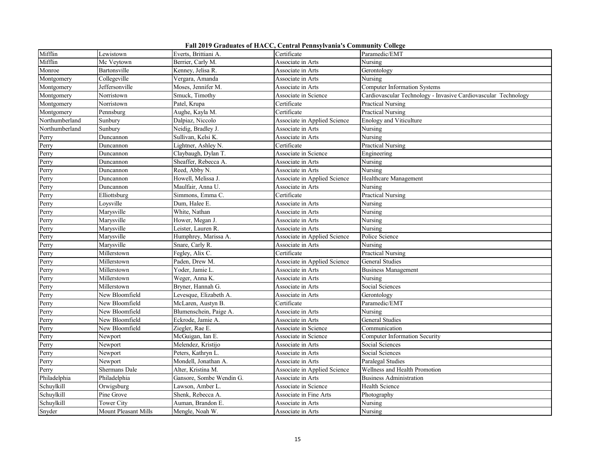|  |  |  |  | Fall 2019 Graduates of HACC, Central Pennsylvania's Community College |  |  |
|--|--|--|--|-----------------------------------------------------------------------|--|--|
|--|--|--|--|-----------------------------------------------------------------------|--|--|

| Mifflin        | Lewistown            | Everts, Brittiani A.     | Certificate                  | Paramedic/EMT                                                  |
|----------------|----------------------|--------------------------|------------------------------|----------------------------------------------------------------|
| Mifflin        | Mc Veytown           | Berrier, Carly M.        | Associate in Arts            | Nursing                                                        |
| Monroe         | Bartonsville         | Kenney, Jelisa R.        | Associate in Arts            | Gerontology                                                    |
| Montgomery     | Collegeville         | Vergara, Amanda          | Associate in Arts            | Nursing                                                        |
| Montgomery     | Jeffersonville       | Moses, Jennifer M.       | Associate in Arts            | Computer Information Systems                                   |
| Montgomery     | Norristown           | Smuck, Timothy           | Associate in Science         | Cardiovascular Technology - Invasive Cardiovascular Technology |
| Montgomery     | Norristown           | Patel, Krupa             | Certificate                  | Practical Nursing                                              |
| Montgomery     | Pennsburg            | Aughe, Kayla M.          | Certificate                  | <b>Practical Nursing</b>                                       |
| Northumberland | Sunbury              | Dalpiaz, Niccolo         | Associate in Applied Science | <b>Enology and Viticulture</b>                                 |
| Northumberland | Sunbury              | Neidig, Bradley J.       | Associate in Arts            | Nursing                                                        |
| Perry          | Duncannon            | Sullivan, Kelsi K.       | Associate in Arts            | Nursing                                                        |
| Perry          | Duncannon            | Lightner, Ashley N.      | Certificate                  | <b>Practical Nursing</b>                                       |
| Perry          | Duncannon            | Claybaugh, Dylan T.      | Associate in Science         | Engineering                                                    |
| Perry          | Duncannon            | Sheaffer, Rebecca A.     | Associate in Arts            | Nursing                                                        |
| Perry          | Duncannon            | Reed, Abby N.            | Associate in Arts            | Nursing                                                        |
| Perry          | Duncannon            | Howell, Melissa J.       | Associate in Applied Science | Healthcare Management                                          |
| Perry          | Duncannon            | Maulfair, Anna U.        | Associate in Arts            | Nursing                                                        |
| Perry          | Elliottsburg         | Simmons, Emma C.         | Certificate                  | Practical Nursing                                              |
| Perry          | Loysville            | Dum, Halee E.            | Associate in Arts            | Nursing                                                        |
| Perry          | Marysville           | White, Nathan            | Associate in Arts            | Nursing                                                        |
| Perry          | Marysville           | Hower, Megan J.          | Associate in Arts            | Nursing                                                        |
| Perry          | Marysville           | Leister, Lauren R.       | Associate in Arts            | Nursing                                                        |
| Perry          | Marysville           | Humphrey, Marissa A.     | Associate in Applied Science | Police Science                                                 |
| Perry          | Marysville           | Snare, Carly R.          | Associate in Arts            | Nursing                                                        |
| Perry          | Millerstown          | Fegley, Alix C.          | Certificate                  | Practical Nursing                                              |
| Perry          | Millerstown          | Paden, Drew M.           | Associate in Applied Science | General Studies                                                |
| Perry          | Millerstown          | Yoder, Jamie L.          | Associate in Arts            | <b>Business Management</b>                                     |
| Perry          | Millerstown          | Weger, Anna K.           | Associate in Arts            | Nursing                                                        |
| Perry          | Millerstown          | Bryner, Hannah G.        | Associate in Arts            | Social Sciences                                                |
| Perry          | New Bloomfield       | Levesque, Elizabeth A.   | Associate in Arts            | Gerontology                                                    |
| Perry          | New Bloomfield       | McLaren, Austyn B.       | Certificate                  | Paramedic/EMT                                                  |
| Perry          | New Bloomfield       | Blumenschein, Paige A.   | Associate in Arts            | Nursing                                                        |
| Perry          | New Bloomfield       | Eckrode, Jamie A.        | Associate in Arts            | General Studies                                                |
| Perry          | New Bloomfield       | Ziegler, Rae E.          | Associate in Science         | Communication                                                  |
| Perry          | Newport              | McGuigan, Ian E.         | Associate in Science         | <b>Computer Information Security</b>                           |
| Perry          | Newport              | Melendez, Kristijo       | Associate in Arts            | Social Sciences                                                |
| Perry          | Newport              | Peters, Kathryn L.       | Associate in Arts            | Social Sciences                                                |
| Perry          | Newport              | Mondell, Jonathan A.     | Associate in Arts            | Paralegal Studies                                              |
| Perry          | Shermans Dale        | Alter, Kristina M.       | Associate in Applied Science | Wellness and Health Promotion                                  |
| Philadelphia   | Philadelphia         | Gansore, Sombe Wendin G. | Associate in Arts            | <b>Business Administration</b>                                 |
| Schuylkill     | Orwigsburg           | Lawson, Amber L.         | Associate in Science         | Health Science                                                 |
| Schuylkill     | Pine Grove           | Shenk, Rebecca A.        | Associate in Fine Arts       | Photography                                                    |
| Schuylkill     | Tower City           | Auman, Brandon E.        | Associate in Arts            | Nursing                                                        |
| Snyder         | Mount Pleasant Mills | Mengle, Noah W.          | Associate in Arts            | Nursing                                                        |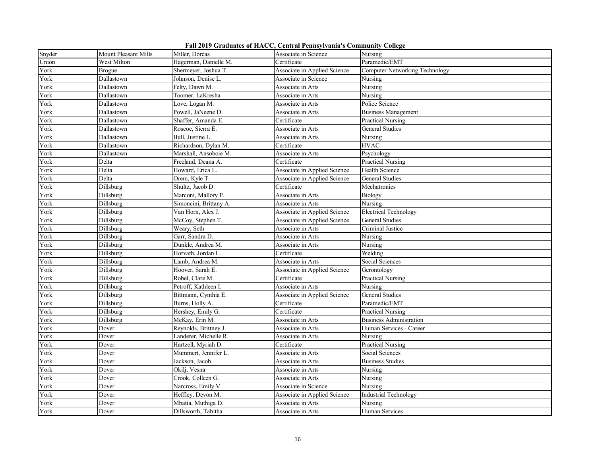| Fall 2019 Graduates of HACC, Central Pennsylvania's Community College |  |  |  |  |
|-----------------------------------------------------------------------|--|--|--|--|
|-----------------------------------------------------------------------|--|--|--|--|

| Snyder | Mount Pleasant Mills | Miller, Dorcas         | Associate in Science         | Nursing                               |
|--------|----------------------|------------------------|------------------------------|---------------------------------------|
| Union  | West Milton          | Hagerman, Danielle M.  | Certificate                  | Paramedic/EMT                         |
| York   | <b>Brogue</b>        | Shermeyer, Joshua T.   | Associate in Applied Science | <b>Computer Networking Technology</b> |
| York   | Dallastown           | Johnson, Denise L.     | Associate in Science         | Nursing                               |
| York   | Dallastown           | Felty, Dawn M.         | Associate in Arts            | Nursing                               |
| York   | Dallastown           | Toomer, LaKresha       | Associate in Arts            | Nursing                               |
| York   | Dallastown           | Love, Logan M.         | Associate in Arts            | Police Science                        |
| York   | Dallastown           | Powell, JaNeene D.     | Associate in Arts            | <b>Business Management</b>            |
| York   | Dallastown           | Shaffer, Amanda E.     | Certificate                  | Practical Nursing                     |
| York   | Dallastown           | Roscoe, Sierra E.      | Associate in Arts            | General Studies                       |
| York   | Dallastown           | Bull, Justine L.       | Associate in Arts            | Nursing                               |
| York   | Dallastown           | Richardson, Dylan M.   | Certificate                  | <b>HVAC</b>                           |
| York   | Dallastown           | Marshall, Ansoboie M.  | Associate in Arts            | Psychology                            |
| York   | Delta                | Freeland, Deana A.     | Certificate                  | <b>Practical Nursing</b>              |
| York   | Delta                | Howard, Erica L.       | Associate in Applied Science | Health Science                        |
| York   | Delta                | Orem, Kyle T.          | Associate in Applied Science | General Studies                       |
| York   | Dillsburg            | Shultz, Jacob D.       | Certificate                  | Mechatronics                          |
| York   | Dillsburg            | Marconi, Mallory P.    | Associate in Arts            | Biology                               |
| York   | Dillsburg            | Simoncini, Brittany A. | Associate in Arts            | Nursing                               |
| York   | Dillsburg            | Van Horn, Alex J.      | Associate in Applied Science | <b>Electrical Technology</b>          |
| York   | Dillsburg            | McCoy, Stephen T.      | Associate in Applied Science | General Studies                       |
| York   | Dillsburg            | Weary, Seth            | Associate in Arts            | Criminal Justice                      |
| York   | Dillsburg            | Garr, Sandra D.        | Associate in Arts            | Nursing                               |
| York   | Dillsburg            | Dunkle, Andrea M.      | Associate in Arts            | Nursing                               |
| York   | Dillsburg            | Horvath, Jordan L.     | Certificate                  | Welding                               |
| York   | Dillsburg            | Lamb, Andrea M.        | Associate in Arts            | Social Sciences                       |
| York   | Dillsburg            | Hoover, Sarah E.       | Associate in Applied Science | Gerontology                           |
| York   | Dillsburg            | Robel, Clare M.        | Certificate                  | Practical Nursing                     |
| York   | Dillsburg            | Petroff, Kathleen I.   | Associate in Arts            | Nursing                               |
| York   | Dillsburg            | Bittmann, Cynthia E.   | Associate in Applied Science | <b>General Studies</b>                |
| York   | Dillsburg            | Burns, Holly A.        | Certificate                  | Paramedic/EMT                         |
| York   | Dillsburg            | Hershey, Emily G.      | Certificate                  | Practical Nursing                     |
| York   | Dillsburg            | McKay, Erin M.         | Associate in Arts            | <b>Business Administration</b>        |
| York   | Dover                | Reynolds, Brittney J.  | Associate in Arts            | Human Services - Career               |
| York   | Dover                | Landerer, Michelle R.  | Associate in Arts            | Nursing                               |
| York   | Dover                | Hartzell, Myriah D.    | Certificate                  | <b>Practical Nursing</b>              |
| York   | Dover                | Mummert, Jennifer L.   | Associate in Arts            | Social Sciences                       |
| York   | Dover                | Jackson, Jacob         | Associate in Arts            | <b>Business Studies</b>               |
| York   | Dover                | Okilj, Vesna           | Associate in Arts            | Nursing                               |
| York   | Dover                | Crook, Colleen G.      | Associate in Arts            | Nursing                               |
| York   | Dover                | Narcross, Emily V.     | Associate in Science         | Nursing                               |
| York   | Dover                | Heffley, Devon M.      | Associate in Applied Science | Industrial Technology                 |
| York   | Dover                | Mbatia, Muthiga D.     | Associate in Arts            | Nursing                               |
| York   | Dover                | Dillsworth, Tabitha    | Associate in Arts            | Human Services                        |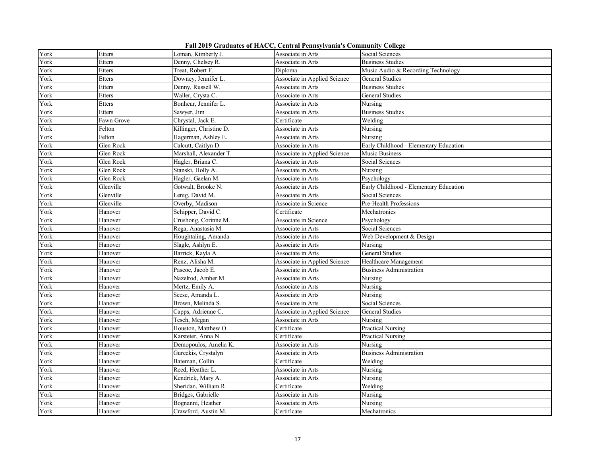**Fall 2019 Graduates of HACC, Central Pennsylvania's Community College**

| York<br>Etters<br>Loman, Kimberly J.<br>Associate in Arts<br>Social Sciences<br>York<br>Denny, Chelsey R.<br><b>Business Studies</b><br>Etters<br>Associate in Arts<br>York<br>Treat, Robert F.<br>Diploma<br>Music Audio & Recording Technology<br>Etters<br>York<br>Etters<br>Downey, Jennifer L.<br>Associate in Applied Science<br>General Studies<br>York<br>Denny, Russell W.<br><b>Business Studies</b><br>Etters<br>Associate in Arts<br>York<br>Etters<br>Waller, Crysta C.<br>Associate in Arts<br>General Studies<br>York<br>Bonheur, Jennifer L.<br>Etters<br>Nursing<br>Associate in Arts<br><b>Business Studies</b><br>York<br>Sawyer, Jim<br>Etters<br>Associate in Arts<br>York<br>Chrystal, Jack E.<br>Certificate<br>Welding<br>Fawn Grove<br>York<br>Killinger, Christine D.<br>Nursing<br>Felton<br>Associate in Arts<br>York<br>Felton<br>Hagerman, Ashley E.<br>Nursing<br>Associate in Arts<br>York<br>Glen Rock<br>Calcutt, Caitlyn D.<br>Early Childhood - Elementary Education<br>Associate in Arts<br>York<br>Glen Rock<br>Marshall, Alexander T.<br>Associate in Applied Science<br>Music Business<br>York<br>Glen Rock<br>Hagler, Briana C.<br>Associate in Arts<br>Social Sciences<br>York<br>Glen Rock<br>Associate in Arts<br>Nursing |  |
|-----------------------------------------------------------------------------------------------------------------------------------------------------------------------------------------------------------------------------------------------------------------------------------------------------------------------------------------------------------------------------------------------------------------------------------------------------------------------------------------------------------------------------------------------------------------------------------------------------------------------------------------------------------------------------------------------------------------------------------------------------------------------------------------------------------------------------------------------------------------------------------------------------------------------------------------------------------------------------------------------------------------------------------------------------------------------------------------------------------------------------------------------------------------------------------------------------------------------------------------------------------------------|--|
|                                                                                                                                                                                                                                                                                                                                                                                                                                                                                                                                                                                                                                                                                                                                                                                                                                                                                                                                                                                                                                                                                                                                                                                                                                                                       |  |
|                                                                                                                                                                                                                                                                                                                                                                                                                                                                                                                                                                                                                                                                                                                                                                                                                                                                                                                                                                                                                                                                                                                                                                                                                                                                       |  |
|                                                                                                                                                                                                                                                                                                                                                                                                                                                                                                                                                                                                                                                                                                                                                                                                                                                                                                                                                                                                                                                                                                                                                                                                                                                                       |  |
|                                                                                                                                                                                                                                                                                                                                                                                                                                                                                                                                                                                                                                                                                                                                                                                                                                                                                                                                                                                                                                                                                                                                                                                                                                                                       |  |
|                                                                                                                                                                                                                                                                                                                                                                                                                                                                                                                                                                                                                                                                                                                                                                                                                                                                                                                                                                                                                                                                                                                                                                                                                                                                       |  |
|                                                                                                                                                                                                                                                                                                                                                                                                                                                                                                                                                                                                                                                                                                                                                                                                                                                                                                                                                                                                                                                                                                                                                                                                                                                                       |  |
|                                                                                                                                                                                                                                                                                                                                                                                                                                                                                                                                                                                                                                                                                                                                                                                                                                                                                                                                                                                                                                                                                                                                                                                                                                                                       |  |
|                                                                                                                                                                                                                                                                                                                                                                                                                                                                                                                                                                                                                                                                                                                                                                                                                                                                                                                                                                                                                                                                                                                                                                                                                                                                       |  |
|                                                                                                                                                                                                                                                                                                                                                                                                                                                                                                                                                                                                                                                                                                                                                                                                                                                                                                                                                                                                                                                                                                                                                                                                                                                                       |  |
|                                                                                                                                                                                                                                                                                                                                                                                                                                                                                                                                                                                                                                                                                                                                                                                                                                                                                                                                                                                                                                                                                                                                                                                                                                                                       |  |
|                                                                                                                                                                                                                                                                                                                                                                                                                                                                                                                                                                                                                                                                                                                                                                                                                                                                                                                                                                                                                                                                                                                                                                                                                                                                       |  |
|                                                                                                                                                                                                                                                                                                                                                                                                                                                                                                                                                                                                                                                                                                                                                                                                                                                                                                                                                                                                                                                                                                                                                                                                                                                                       |  |
|                                                                                                                                                                                                                                                                                                                                                                                                                                                                                                                                                                                                                                                                                                                                                                                                                                                                                                                                                                                                                                                                                                                                                                                                                                                                       |  |
|                                                                                                                                                                                                                                                                                                                                                                                                                                                                                                                                                                                                                                                                                                                                                                                                                                                                                                                                                                                                                                                                                                                                                                                                                                                                       |  |
| Stanski, Holly A.                                                                                                                                                                                                                                                                                                                                                                                                                                                                                                                                                                                                                                                                                                                                                                                                                                                                                                                                                                                                                                                                                                                                                                                                                                                     |  |
| York<br>Glen Rock<br>Hagler, Gaelan M.<br>Psychology<br>Associate in Arts                                                                                                                                                                                                                                                                                                                                                                                                                                                                                                                                                                                                                                                                                                                                                                                                                                                                                                                                                                                                                                                                                                                                                                                             |  |
| York<br>Glenville<br>Gotwalt, Brooke N.<br>Early Childhood - Elementary Education<br>Associate in Arts                                                                                                                                                                                                                                                                                                                                                                                                                                                                                                                                                                                                                                                                                                                                                                                                                                                                                                                                                                                                                                                                                                                                                                |  |
| York<br>Glenville<br>Social Sciences<br>Lenig, David M.<br>Associate in Arts                                                                                                                                                                                                                                                                                                                                                                                                                                                                                                                                                                                                                                                                                                                                                                                                                                                                                                                                                                                                                                                                                                                                                                                          |  |
| York<br>Glenville<br>Overby, Madison<br>Associate in Science<br>Pre-Health Professions                                                                                                                                                                                                                                                                                                                                                                                                                                                                                                                                                                                                                                                                                                                                                                                                                                                                                                                                                                                                                                                                                                                                                                                |  |
| Schipper, David C.<br>York<br>Hanover<br>Certificate<br>Mechatronics                                                                                                                                                                                                                                                                                                                                                                                                                                                                                                                                                                                                                                                                                                                                                                                                                                                                                                                                                                                                                                                                                                                                                                                                  |  |
| York<br>Crushong, Corinne M.<br>Hanover<br>Associate in Science<br>Psychology                                                                                                                                                                                                                                                                                                                                                                                                                                                                                                                                                                                                                                                                                                                                                                                                                                                                                                                                                                                                                                                                                                                                                                                         |  |
| York<br>Rega, Anastasia M.<br>Social Sciences<br>Hanover<br>Associate in Arts                                                                                                                                                                                                                                                                                                                                                                                                                                                                                                                                                                                                                                                                                                                                                                                                                                                                                                                                                                                                                                                                                                                                                                                         |  |
| York<br>Houghtaling, Amanda<br>Web Development & Design<br>Hanover<br>Associate in Arts                                                                                                                                                                                                                                                                                                                                                                                                                                                                                                                                                                                                                                                                                                                                                                                                                                                                                                                                                                                                                                                                                                                                                                               |  |
| York<br>Hanover<br>Slagle, Ashlyn E.<br>Nursing<br>Associate in Arts                                                                                                                                                                                                                                                                                                                                                                                                                                                                                                                                                                                                                                                                                                                                                                                                                                                                                                                                                                                                                                                                                                                                                                                                  |  |
| General Studies<br>York<br>Barrick, Kayla A.<br>Hanover<br>Associate in Arts                                                                                                                                                                                                                                                                                                                                                                                                                                                                                                                                                                                                                                                                                                                                                                                                                                                                                                                                                                                                                                                                                                                                                                                          |  |
| York<br>Renz, Alisha M.<br>Associate in Applied Science<br>Healthcare Management<br>Hanover                                                                                                                                                                                                                                                                                                                                                                                                                                                                                                                                                                                                                                                                                                                                                                                                                                                                                                                                                                                                                                                                                                                                                                           |  |
| York<br>Pascoe, Jacob E.<br>Hanover<br>Associate in Arts<br><b>Business Administration</b>                                                                                                                                                                                                                                                                                                                                                                                                                                                                                                                                                                                                                                                                                                                                                                                                                                                                                                                                                                                                                                                                                                                                                                            |  |
| York<br>Hanover<br>Nazelrod, Amber M.<br>Nursing<br>Associate in Arts                                                                                                                                                                                                                                                                                                                                                                                                                                                                                                                                                                                                                                                                                                                                                                                                                                                                                                                                                                                                                                                                                                                                                                                                 |  |
| York<br>Nursing<br>Hanover<br>Mertz, Emily A.<br>Associate in Arts                                                                                                                                                                                                                                                                                                                                                                                                                                                                                                                                                                                                                                                                                                                                                                                                                                                                                                                                                                                                                                                                                                                                                                                                    |  |
| York<br>Seese, Amanda L.<br>Nursing<br>Hanover<br>Associate in Arts                                                                                                                                                                                                                                                                                                                                                                                                                                                                                                                                                                                                                                                                                                                                                                                                                                                                                                                                                                                                                                                                                                                                                                                                   |  |
| York<br>Social Sciences<br>Brown, Melinda S.<br>Hanover<br>Associate in Arts                                                                                                                                                                                                                                                                                                                                                                                                                                                                                                                                                                                                                                                                                                                                                                                                                                                                                                                                                                                                                                                                                                                                                                                          |  |
| York<br>Capps, Adrienne C.<br>Hanover<br>Associate in Applied Science<br>General Studies                                                                                                                                                                                                                                                                                                                                                                                                                                                                                                                                                                                                                                                                                                                                                                                                                                                                                                                                                                                                                                                                                                                                                                              |  |
| York<br>Hanover<br>Tesch, Megan<br>Associate in Arts<br>Nursing                                                                                                                                                                                                                                                                                                                                                                                                                                                                                                                                                                                                                                                                                                                                                                                                                                                                                                                                                                                                                                                                                                                                                                                                       |  |
| Houston, Matthew O.<br>York<br>Hanover<br>Certificate<br><b>Practical Nursing</b>                                                                                                                                                                                                                                                                                                                                                                                                                                                                                                                                                                                                                                                                                                                                                                                                                                                                                                                                                                                                                                                                                                                                                                                     |  |
| York<br>Karsteter, Anna N.<br>Certificate<br><b>Practical Nursing</b><br>Hanover                                                                                                                                                                                                                                                                                                                                                                                                                                                                                                                                                                                                                                                                                                                                                                                                                                                                                                                                                                                                                                                                                                                                                                                      |  |
| York<br>Demopoulos, Amelia K.<br>Nursing<br>Hanover<br>Associate in Arts                                                                                                                                                                                                                                                                                                                                                                                                                                                                                                                                                                                                                                                                                                                                                                                                                                                                                                                                                                                                                                                                                                                                                                                              |  |
| York<br>Gureckis, Crystalyn<br><b>Business Administration</b><br>Hanover<br>Associate in Arts                                                                                                                                                                                                                                                                                                                                                                                                                                                                                                                                                                                                                                                                                                                                                                                                                                                                                                                                                                                                                                                                                                                                                                         |  |
| York<br>Bateman, Collin<br>Welding<br>Certificate<br>Hanover                                                                                                                                                                                                                                                                                                                                                                                                                                                                                                                                                                                                                                                                                                                                                                                                                                                                                                                                                                                                                                                                                                                                                                                                          |  |
| York<br>Reed, Heather L.<br>Hanover<br>Nursing<br>Associate in Arts                                                                                                                                                                                                                                                                                                                                                                                                                                                                                                                                                                                                                                                                                                                                                                                                                                                                                                                                                                                                                                                                                                                                                                                                   |  |
| York<br>Kendrick, Mary A.<br>Nursing<br>Hanover<br>Associate in Arts                                                                                                                                                                                                                                                                                                                                                                                                                                                                                                                                                                                                                                                                                                                                                                                                                                                                                                                                                                                                                                                                                                                                                                                                  |  |
| York<br>Sheridan, William R.<br>Welding<br>Hanover<br>Certificate                                                                                                                                                                                                                                                                                                                                                                                                                                                                                                                                                                                                                                                                                                                                                                                                                                                                                                                                                                                                                                                                                                                                                                                                     |  |
| York<br>Bridges, Gabrielle<br>Nursing<br>Hanover<br>Associate in Arts                                                                                                                                                                                                                                                                                                                                                                                                                                                                                                                                                                                                                                                                                                                                                                                                                                                                                                                                                                                                                                                                                                                                                                                                 |  |
| Bognanni, Heather<br>York<br>Hanover<br>Associate in Arts<br>Nursing                                                                                                                                                                                                                                                                                                                                                                                                                                                                                                                                                                                                                                                                                                                                                                                                                                                                                                                                                                                                                                                                                                                                                                                                  |  |
| York<br>Crawford, Austin M.<br>Hanover<br>Certificate<br>Mechatronics                                                                                                                                                                                                                                                                                                                                                                                                                                                                                                                                                                                                                                                                                                                                                                                                                                                                                                                                                                                                                                                                                                                                                                                                 |  |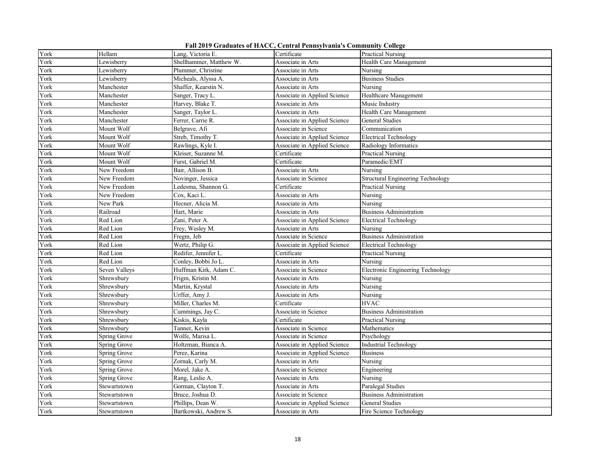**Fall 2019 Graduates of HACC, Central Pennsylvania's Community College**

| York | Hellam        | Lang, Victoria E.       | Certificate                  | <b>Practical Nursing</b>          |
|------|---------------|-------------------------|------------------------------|-----------------------------------|
| York | Lewisberry    | Shellhammer, Matthew W. | Associate in Arts            | Health Care Management            |
| York | Lewisberry    | Plummer, Christine      | Associate in Arts            | Nursing                           |
| York | Lewisberry    | Micheals, Alyssa A.     | Associate in Arts            | <b>Business Studies</b>           |
| York | Manchester    | Shaffer, Kearstin N.    | Associate in Arts            | Nursing                           |
| York | Manchester    | Sanger, Tracy L.        | Associate in Applied Science | Healthcare Management             |
| York | Manchester    | Harvey, Blake T.        | Associate in Arts            | Music Industry                    |
| York | Manchester    | Sanger, Taylor L.       | Associate in Arts            | Health Care Management            |
| York | Manchester    | Ferrer, Carrie R.       | Associate in Applied Science | General Studies                   |
| York | Mount Wolf    | Belgrave, Afi           | Associate in Science         | Communication                     |
| York | Mount Wolf    | Streb, Timothy T.       | Associate in Applied Science | <b>Electrical Technology</b>      |
| York | Mount Wolf    | Rawlings, Kyle I.       | Associate in Applied Science | Radiology Informatics             |
| York | Mount Wolf    | Kleiser, Suzanne M.     | Certificate                  | <b>Practical Nursing</b>          |
| York | Mount Wolf    | Furst, Gabriel M.       | Certificate                  | Paramedic/EMT                     |
| York | New Freedom   | Bair, Allison B.        | Associate in Arts            | Nursing                           |
| York | New Freedom   | Novinger, Jessica       | Associate in Science         | Structural Engineering Technology |
| York | New Freedom   | Ledesma, Shannon G.     | Certificate                  | <b>Practical Nursing</b>          |
| York | New Freedom   | Cox, Kaci L.            | Associate in Arts            | Nursing                           |
| York | New Park      | Hecner, Alicia M.       | Associate in Arts            | Nursing                           |
| York | Railroad      | Hart, Marie             | Associate in Arts            | <b>Business Administration</b>    |
| York | Red Lion      | Zani, Peter A.          | Associate in Applied Science | <b>Electrical Technology</b>      |
| York | Red Lion      | Frey, Wesley M.         | Associate in Arts            | Nursing                           |
| York | Red Lion      | Fregm, Jeb              | Associate in Science         | <b>Business Administration</b>    |
| York | Red Lion      | Wertz, Philip G.        | Associate in Applied Science | <b>Electrical Technology</b>      |
| York | Red Lion      | Redifer, Jennifer L.    | Certificate                  | Practical Nursing                 |
| York | Red Lion      | Conley, Bobbi Jo L.     | Associate in Arts            | Nursing                           |
| York | Seven Valleys | Huffman Kirk, Adam C.   | Associate in Science         | Electronic Engineering Technology |
| York | Shrewsbury    | Frigm, Kristin M.       | Associate in Arts            | Nursing                           |
| York | Shrewsbury    | Martin, Krystal         | Associate in Arts            | Nursing                           |
| York | Shrewsbury    | Urffer, Amy J.          | Associate in Arts            | Nursing                           |
| York | Shrewsbury    | Miller, Charles M.      | Certificate                  | <b>HVAC</b>                       |
| York | Shrewsbury    | Cummings, Jay C.        | Associate in Science         | <b>Business Administration</b>    |
| York | Shrewsbury    | Kiskis, Kayla           | Certificate                  | <b>Practical Nursing</b>          |
| York | Shrewsbury    | Tanner, Kevin           | Associate in Science         | Mathematics                       |
| York | Spring Grove  | Wolfe, Marisa L.        | Associate in Science         | Psychology                        |
| York | Spring Grove  | Holtzman, Bianca A.     | Associate in Applied Science | Industrial Technology             |
| York | Spring Grove  | Perez, Karina           | Associate in Applied Science | <b>Business</b>                   |
| York | Spring Grove  | Zornak, Carly M.        | Associate in Arts            | Nursing                           |
| York | Spring Grove  | Morel, Jake A.          | Associate in Science         | Engineering                       |
| York | Spring Grove  | Rang, Leslie A.         | Associate in Arts            | Nursing                           |
| York | Stewartstown  | Gorman, Clayton T.      | Associate in Arts            | Paralegal Studies                 |
| York | Stewartstown  | Bruce, Joshua D.        | Associate in Science         | <b>Business Administration</b>    |
| York | Stewartstown  | Phillips, Dean W.       | Associate in Applied Science | General Studies                   |
| York | Stewartstown  | Bartkowski, Andrew S.   | Associate in Arts            | Fire Science Technology           |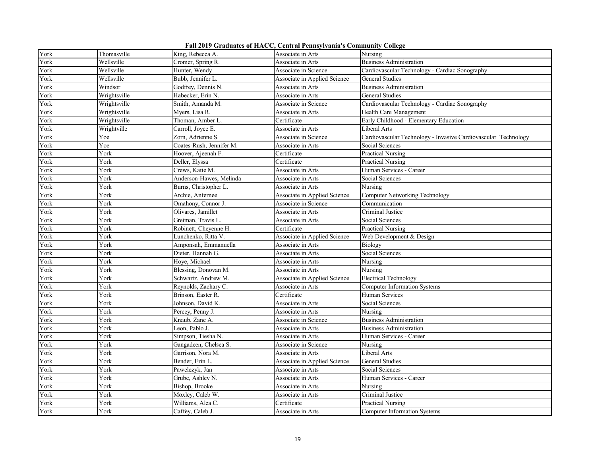**Fall 2019 Graduates of HACC, Central Pennsylvania's Community College**

| York | Thomasville  | King, Rebecca A.         | Associate in Arts            | Nursing                                                        |
|------|--------------|--------------------------|------------------------------|----------------------------------------------------------------|
| York | Wellsville   | Cromer, Spring R.        | Associate in Arts            | <b>Business Administration</b>                                 |
| York | Wellsville   | Hunter, Wendy            | Associate in Science         | Cardiovascular Technology - Cardiac Sonography                 |
| York | Wellsville   | Bubb, Jennifer L.        | Associate in Applied Science | <b>General Studies</b>                                         |
| York | Windsor      | Godfrey, Dennis N.       | Associate in Arts            | <b>Business Administration</b>                                 |
| York | Wrightsville | Habecker, Erin N.        | Associate in Arts            | <b>General Studies</b>                                         |
| York | Wrightsville | Smith, Amanda M.         | Associate in Science         | Cardiovascular Technology - Cardiac Sonography                 |
| York | Wrightsville | Myers, Lisa R.           | Associate in Arts            | Health Care Management                                         |
| York | Wrightsville | Thoman, Amber L.         | Certificate                  | Early Childhood - Elementary Education                         |
| York | Wrightville  | Carroll, Joyce E.        | Associate in Arts            | Liberal Arts                                                   |
| York | Yoe          | Zorn, Adrienne S.        | Associate in Science         | Cardiovascular Technology - Invasive Cardiovascular Technology |
| York | Yoe          | Coates-Rush, Jennifer M. | Associate in Arts            | Social Sciences                                                |
| York | York         | Hoover, Ajeenah F.       | Certificate                  | <b>Practical Nursing</b>                                       |
| York | York         | Deller, Elyssa           | Certificate                  | Practical Nursing                                              |
| York | York         | Crews, Katie M.          | Associate in Arts            | Human Services - Career                                        |
| York | York         | Anderson-Hawes, Melinda  | Associate in Arts            | Social Sciences                                                |
| York | York         | Burns, Christopher L.    | Associate in Arts            | Nursing                                                        |
| York | York         | Archie, Anfernee         | Associate in Applied Science | <b>Computer Networking Technology</b>                          |
| York | York         | Omahony, Connor J.       | Associate in Science         | Communication                                                  |
| York | York         | Olivares, Jamillet       | Associate in Arts            | Criminal Justice                                               |
| York | York         | Greiman, Travis L.       | Associate in Arts            | Social Sciences                                                |
| York | York         | Robinett, Cheyenne H.    | Certificate                  | Practical Nursing                                              |
| York | York         | Lunchenko, Ritta V.      | Associate in Applied Science | Web Development & Design                                       |
| York | York         | Amponsah, Emmanuella     | Associate in Arts            | Biology                                                        |
| York | York         | Dieter, Hannah G.        | Associate in Arts            | Social Sciences                                                |
| York | York         | Hoye, Michael            | Associate in Arts            | Nursing                                                        |
| York | York         | Blessing, Donovan M.     | Associate in Arts            | Nursing                                                        |
| York | York         | Schwartz, Andrew M.      | Associate in Applied Science | <b>Electrical Technology</b>                                   |
| York | York         | Reynolds, Zachary C.     | Associate in Arts            | <b>Computer Information Systems</b>                            |
| York | York         | Brinson, Easter R.       | Certificate                  | Human Services                                                 |
| York | York         | Johnson, David K.        | Associate in Arts            | Social Sciences                                                |
| York | York         | Percey, Penny J.         | Associate in Arts            | Nursing                                                        |
| York | York         | Knaub, Zane A.           | Associate in Science         | <b>Business Administration</b>                                 |
| York | York         | Leon, Pablo J.           | Associate in Arts            | <b>Business Administration</b>                                 |
| York | York         | Simpson, Tiesha N.       | Associate in Arts            | Human Services - Career                                        |
| York | York         | Gangadeen, Chelsea S.    | Associate in Science         | Nursing                                                        |
| York | York         | Garrison, Nora M.        | Associate in Arts            | Liberal Arts                                                   |
| York | York         | Bender, Erin L.          | Associate in Applied Science | General Studies                                                |
| York | York         | Pawelczyk, Jan           | Associate in Arts            | Social Sciences                                                |
| York | York         | Grube, Ashley N.         | Associate in Arts            | Human Services - Career                                        |
| York | York         | Bishop, Brooke           | Associate in Arts            | Nursing                                                        |
| York | York         | Moxley, Caleb W.         | Associate in Arts            | Criminal Justice                                               |
| York | York         | Williams, Alea C.        | Certificate                  | <b>Practical Nursing</b>                                       |
| York | York         | Caffey, Caleb J.         | Associate in Arts            | <b>Computer Information Systems</b>                            |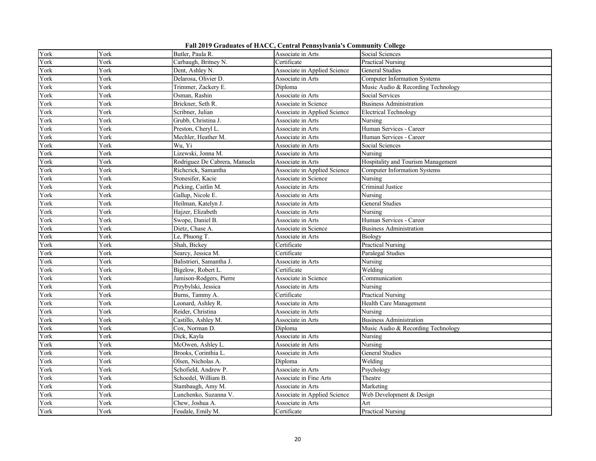**Fall 2019 Graduates of HACC, Central Pennsylvania's Community College**

| York | York | Butler, Paula R.              | Associate in Arts            | Social Sciences                     |
|------|------|-------------------------------|------------------------------|-------------------------------------|
| York | York | Carbaugh, Britney N.          | Certificate                  | <b>Practical Nursing</b>            |
| York | York | Dent, Ashley N.               | Associate in Applied Science | <b>General Studies</b>              |
| York | York | Delarosa, Olivier D.          | Associate in Arts            | <b>Computer Information Systems</b> |
| York | York | Trimmer, Zackery E.           | Diploma                      | Music Audio & Recording Technology  |
| York | York | Osman, Rashin                 | Associate in Arts            | Social Services                     |
| York | York | Brickner, Seth R.             | Associate in Science         | <b>Business Administration</b>      |
| York | York | Scribner, Julian              | Associate in Applied Science | <b>Electrical Technology</b>        |
| York | York | Grubb, Christina J.           | Associate in Arts            | Nursing                             |
| York | York | Preston, Cheryl L.            | Associate in Arts            | Human Services - Career             |
| York | York | Mechler, Heather M.           | Associate in Arts            | Human Services - Career             |
| York | York | Wu, Yi                        | Associate in Arts            | Social Sciences                     |
| York | York | Lizewski, Jonna M.            | Associate in Arts            | Nursing                             |
| York | York | Rodriguez De Cabrera, Manuela | Associate in Arts            | Hospitality and Tourism Management  |
| York | York | Richcrick, Samantha           | Associate in Applied Science | <b>Computer Information Systems</b> |
| York | York | Stonesifer, Kacie             | Associate in Science         | Nursing                             |
| York | York | Picking, Caitlin M.           | Associate in Arts            | Criminal Justice                    |
| York | York | Gallup, Nicole E.             | Associate in Arts            | Nursing                             |
| York | York | Heilman, Katelyn J.           | Associate in Arts            | General Studies                     |
| York | York | Hajzer, Elizabeth             | Associate in Arts            | Nursing                             |
| York | York | Swope, Daniel B.              | Associate in Arts            | Human Services - Career             |
| York | York | Dietz, Chase A.               | Associate in Science         | <b>Business Administration</b>      |
| York | York | Le, Phuong T.                 | Associate in Arts            | Biology                             |
| York | York | Shah, Bickey                  | Certificate                  | Practical Nursing                   |
| York | York | Searcy, Jessica M.            | Certificate                  | Paralegal Studies                   |
| York | York | Balistrieri, Samantha J.      | Associate in Arts            | Nursing                             |
| York | York | Bigelow, Robert L.            | Certificate                  | Welding                             |
| York | York | Jamison-Rodgers, Pierre       | Associate in Science         | Communication                       |
| York | York | Przybylski, Jessica           | Associate in Arts            | Nursing                             |
| York | York | Burns, Tammy A.               | Certificate                  | <b>Practical Nursing</b>            |
| York | York | Leonard, Ashley R.            | Associate in Arts            | Health Care Management              |
| York | York | Reider, Christina             | Associate in Arts            | Nursing                             |
| York | York | Castillo, Ashley M.           | Associate in Arts            | <b>Business Administration</b>      |
| York | York | Cox, Norman D.                | Diploma                      | Music Audio & Recording Technology  |
| York | York | Dick, Kayla                   | Associate in Arts            | Nursing                             |
| York | York | McOwen, Ashley L.             | Associate in Arts            | Nursing                             |
| York | York | Brooks, Corinthia L.          | Associate in Arts            | General Studies                     |
| York | York | Olsen, Nicholas A.            | Diploma                      | Welding                             |
| York | York | Schofield, Andrew P.          | Associate in Arts            | Psychology                          |
| York | York | Schoedel, William B.          | Associate in Fine Arts       | Theatre                             |
| York | York | Stambaugh, Amy M.             | Associate in Arts            | Marketing                           |
| York | York | Lunchenko, Suzanna V.         | Associate in Applied Science | Web Development & Design            |
| York | York | Chew, Joshua A.               | Associate in Arts            | Art                                 |
| York | York | Feudale, Emily M.             | Certificate                  | <b>Practical Nursing</b>            |